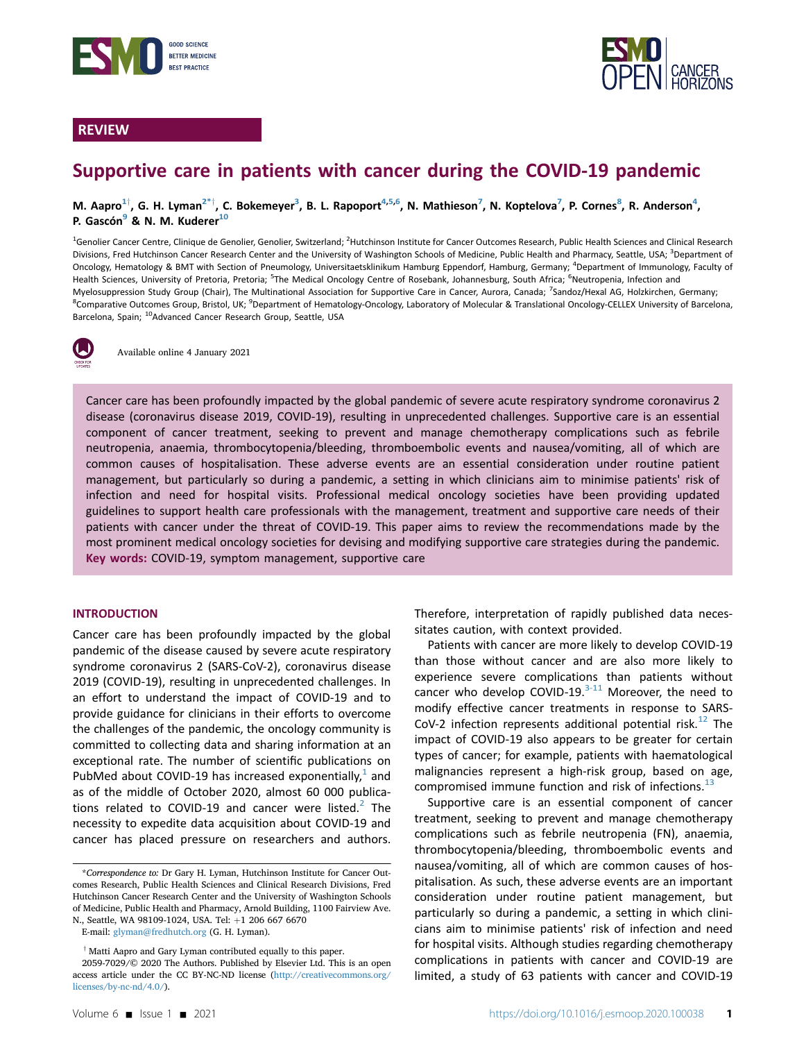

# REVIEW



# Supportive care in patients with cancer during the COVID-19 pandemic

M. Aapro $^{1\dagger}$  $^{1\dagger}$  $^{1\dagger}$ , G. H. Lyman $^{2\ast\dagger}$  $^{2\ast\dagger}$  $^{2\ast\dagger}$ , C. Bokemeyer $^3$ , B. L. Rapoport $^{4,5,6}$  $^{4,5,6}$  $^{4,5,6}$  $^{4,5,6}$ , N. Mathieson $^7$  $^7$ , N. Koptelova $^7$ , P. Cornes $^8$  $^8$ , R. Anderson $^4$ , P. Gascón<sup>9</sup> & N. M. Kuderer<sup>10</sup>

<span id="page-0-5"></span><span id="page-0-4"></span><span id="page-0-3"></span><span id="page-0-2"></span><span id="page-0-0"></span><sup>1</sup>Genolier Cancer Centre, Clinique de Genolier, Genolier, Switzerland; <sup>2</sup>Hutchinson Institute for Cancer Outcomes Research, Public Health Sciences and Clinical Research Divisions, Fred Hutchinson Cancer Research Center and the University of Washington Schools of Medicine, Public Health and Pharmacy, Seattle, USA; <sup>3</sup>Department of Oncology, Hematology & BMT with Section of Pneumology, Universitaetsklinikum Hamburg Eppendorf, Hamburg, Germany; <sup>4</sup>Department of Immunology, Faculty of Health Sciences, University of Pretoria, Pretoria; <sup>5</sup>The Medical Oncology Centre of Rosebank, Johannesburg, South Africa; <sup>6</sup>Neutropenia, Infection and Myelosuppression Study Group (Chair), The Multinational Association for Supportive Care in Cancer, Aurora, Canada; <sup>7</sup>Sandoz/Hexal AG, Holzkirchen, Germany; <sup>8</sup>Comparative Outcomes Group, Bristol, UK; <sup>9</sup>Department of Hematology-Oncology, Laboratory of Molecular & Translational Oncology-CELLEX University of Barcelona, Barcelona, Spain; <sup>10</sup>Advanced Cancer Research Group, Seattle, USA

<span id="page-0-7"></span><span id="page-0-6"></span>

Available online 4 January 2021

Cancer care has been profoundly impacted by the global pandemic of severe acute respiratory syndrome coronavirus 2 disease (coronavirus disease 2019, COVID-19), resulting in unprecedented challenges. Supportive care is an essential component of cancer treatment, seeking to prevent and manage chemotherapy complications such as febrile neutropenia, anaemia, thrombocytopenia/bleeding, thromboembolic events and nausea/vomiting, all of which are common causes of hospitalisation. These adverse events are an essential consideration under routine patient management, but particularly so during a pandemic, a setting in which clinicians aim to minimise patients' risk of infection and need for hospital visits. Professional medical oncology societies have been providing updated guidelines to support health care professionals with the management, treatment and supportive care needs of their patients with cancer under the threat of COVID-19. This paper aims to review the recommendations made by the most prominent medical oncology societies for devising and modifying supportive care strategies during the pandemic. Key words: COVID-19, symptom management, supportive care

# INTRODUCTION

Cancer care has been profoundly impacted by the global pandemic of the disease caused by severe acute respiratory syndrome coronavirus 2 (SARS-CoV-2), coronavirus disease 2019 (COVID-19), resulting in unprecedented challenges. In an effort to understand the impact of COVID-19 and to provide guidance for clinicians in their efforts to overcome the challenges of the pandemic, the oncology community is committed to collecting data and sharing information at an exceptional rate. The number of scientific publications on PubMed about COVID-[1](#page-7-0)9 has increased exponentially, $<sup>1</sup>$  and</sup> as of the middle of October 2020, almost 60 000 publications related to COVID-19 and cancer were listed. $2$  The necessity to expedite data acquisition about COVID-19 and cancer has placed pressure on researchers and authors.

<span id="page-0-1"></span>\*Correspondence to: Dr Gary H. Lyman, Hutchinson Institute for Cancer Outcomes Research, Public Health Sciences and Clinical Research Divisions, Fred Hutchinson Cancer Research Center and the University of Washington Schools of Medicine, Public Health and Pharmacy, Arnold Building, 1100 Fairview Ave. N., Seattle, WA 98109-1024, USA. Tel: +1 206 667 6670

E-mail: [glyman@fredhutch.org](mailto:glyman@fredhutch.org) (G. H. Lyman).

Therefore, interpretation of rapidly published data necessitates caution, with context provided.

Patients with cancer are more likely to develop COVID-19 than those without cancer and are also more likely to experience severe complications than patients without cancer who develop COVID-19. $3-11$  Moreover, the need to modify effective cancer treatments in response to SARS-CoV-2 infection represents additional potential risk.<sup>[12](#page-8-0)</sup> The impact of COVID-19 also appears to be greater for certain types of cancer; for example, patients with haematological malignancies represent a high-risk group, based on age, compromised immune function and risk of infections.<sup>[13](#page-8-1)</sup>

Supportive care is an essential component of cancer treatment, seeking to prevent and manage chemotherapy complications such as febrile neutropenia (FN), anaemia, thrombocytopenia/bleeding, thromboembolic events and nausea/vomiting, all of which are common causes of hospitalisation. As such, these adverse events are an important consideration under routine patient management, but particularly so during a pandemic, a setting in which clinicians aim to minimise patients' risk of infection and need for hospital visits. Although studies regarding chemotherapy complications in patients with cancer and COVID-19 are limited, a study of 63 patients with cancer and COVID-19

 $\dagger$  Matti Aapro and Gary Lyman contributed equally to this paper.

<sup>2059-7029/© 2020</sup> The Authors. Published by Elsevier Ltd. This is an open access article under the CC BY-NC-ND license [\(http://creativecommons.org/](http://creativecommons.org/licenses/by-nc-nd/4.0/) [licenses/by-nc-nd/4.0/\)](http://creativecommons.org/licenses/by-nc-nd/4.0/).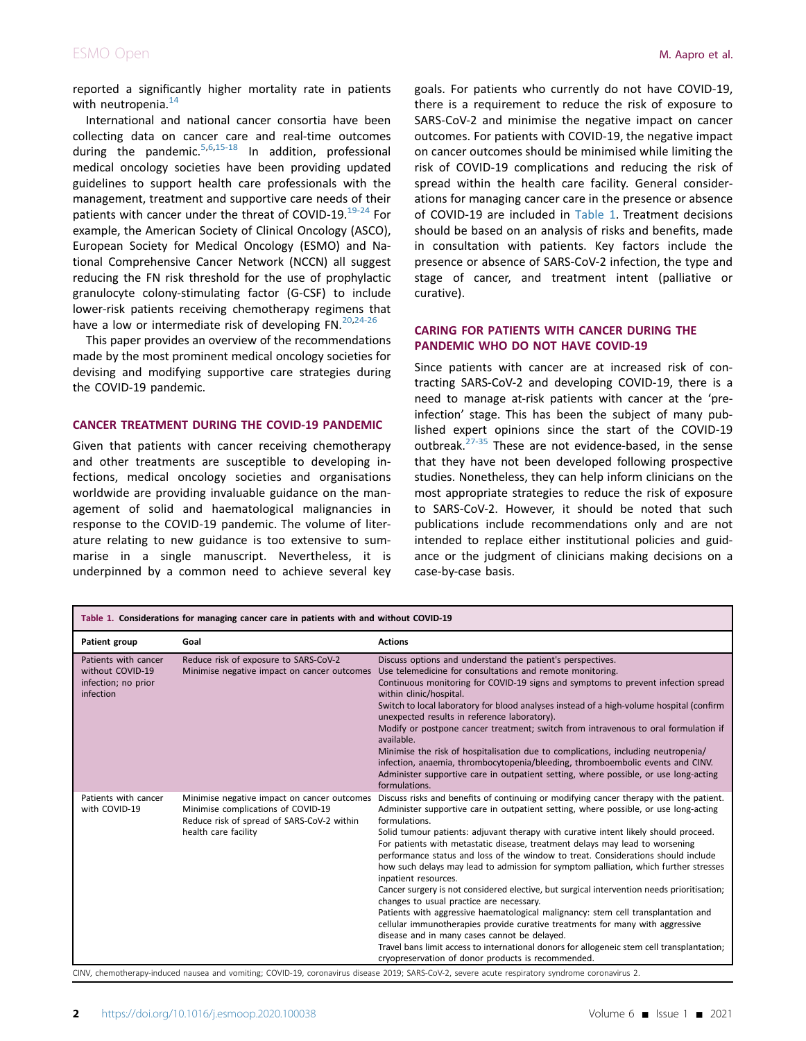reported a significantly higher mortality rate in patients with neutropenia.<sup>[14](#page-8-2)</sup>

International and national cancer consortia have been collecting data on cancer care and real-time outcomes during the pandemic.<sup>[5](#page-7-3)[,6,](#page-7-4)[15-18](#page-8-3)</sup> In addition, professional medical oncology societies have been providing updated guidelines to support health care professionals with the management, treatment and supportive care needs of their patients with cancer under the threat of COVID-19.<sup>[19-24](#page-8-4)</sup> For example, the American Society of Clinical Oncology (ASCO), European Society for Medical Oncology (ESMO) and National Comprehensive Cancer Network (NCCN) all suggest reducing the FN risk threshold for the use of prophylactic granulocyte colony-stimulating factor (G-CSF) to include lower-risk patients receiving chemotherapy regimens that have a low or intermediate risk of developing  $FN$ .  $20,24-26$  $20,24-26$ 

This paper provides an overview of the recommendations made by the most prominent medical oncology societies for devising and modifying supportive care strategies during the COVID-19 pandemic.

# CANCER TREATMENT DURING THE COVID-19 PANDEMIC

Given that patients with cancer receiving chemotherapy and other treatments are susceptible to developing infections, medical oncology societies and organisations worldwide are providing invaluable guidance on the management of solid and haematological malignancies in response to the COVID-19 pandemic. The volume of literature relating to new guidance is too extensive to summarise in a single manuscript. Nevertheless, it is underpinned by a common need to achieve several key

goals. For patients who currently do not have COVID-19, there is a requirement to reduce the risk of exposure to SARS-CoV-2 and minimise the negative impact on cancer outcomes. For patients with COVID-19, the negative impact on cancer outcomes should be minimised while limiting the risk of COVID-19 complications and reducing the risk of spread within the health care facility. General considerations for managing cancer care in the presence or absence of COVID-19 are included in [Table 1](#page-1-0). Treatment decisions should be based on an analysis of risks and benefits, made in consultation with patients. Key factors include the presence or absence of SARS-CoV-2 infection, the type and stage of cancer, and treatment intent (palliative or curative).

# CARING FOR PATIENTS WITH CANCER DURING THE PANDEMIC WHO DO NOT HAVE COVID-19

Since patients with cancer are at increased risk of contracting SARS-CoV-2 and developing COVID-19, there is a need to manage at-risk patients with cancer at the 'preinfection' stage. This has been the subject of many published expert opinions since the start of the COVID-19 outbreak.<sup>[27-35](#page-8-7)</sup> These are not evidence-based, in the sense that they have not been developed following prospective studies. Nonetheless, they can help inform clinicians on the most appropriate strategies to reduce the risk of exposure to SARS-CoV-2. However, it should be noted that such publications include recommendations only and are not intended to replace either institutional policies and guidance or the judgment of clinicians making decisions on a case-by-case basis.

<span id="page-1-0"></span>

| Table 1. Considerations for managing cancer care in patients with and without COVID-19 |                                                                                                                                                         |                                                                                                                                                                                                                                                                                                                                                                                                                                                                                                                                                                                                                                                                                                                                                                                                                                                                                                                                                                                                                                                                                                 |
|----------------------------------------------------------------------------------------|---------------------------------------------------------------------------------------------------------------------------------------------------------|-------------------------------------------------------------------------------------------------------------------------------------------------------------------------------------------------------------------------------------------------------------------------------------------------------------------------------------------------------------------------------------------------------------------------------------------------------------------------------------------------------------------------------------------------------------------------------------------------------------------------------------------------------------------------------------------------------------------------------------------------------------------------------------------------------------------------------------------------------------------------------------------------------------------------------------------------------------------------------------------------------------------------------------------------------------------------------------------------|
| Patient group                                                                          | Goal                                                                                                                                                    | <b>Actions</b>                                                                                                                                                                                                                                                                                                                                                                                                                                                                                                                                                                                                                                                                                                                                                                                                                                                                                                                                                                                                                                                                                  |
| Patients with cancer<br>without COVID-19<br>infection; no prior<br>infection           | Reduce risk of exposure to SARS-CoV-2<br>Minimise negative impact on cancer outcomes                                                                    | Discuss options and understand the patient's perspectives.<br>Use telemedicine for consultations and remote monitoring.<br>Continuous monitoring for COVID-19 signs and symptoms to prevent infection spread<br>within clinic/hospital.<br>Switch to local laboratory for blood analyses instead of a high-volume hospital (confirm<br>unexpected results in reference laboratory).<br>Modify or postpone cancer treatment; switch from intravenous to oral formulation if<br>available.<br>Minimise the risk of hospitalisation due to complications, including neutropenia/<br>infection, anaemia, thrombocytopenia/bleeding, thromboembolic events and CINV.<br>Administer supportive care in outpatient setting, where possible, or use long-acting<br>formulations.                                                                                                                                                                                                                                                                                                                        |
| Patients with cancer<br>with COVID-19                                                  | Minimise negative impact on cancer outcomes<br>Minimise complications of COVID-19<br>Reduce risk of spread of SARS-CoV-2 within<br>health care facility | Discuss risks and benefits of continuing or modifying cancer therapy with the patient.<br>Administer supportive care in outpatient setting, where possible, or use long-acting<br>formulations.<br>Solid tumour patients: adjuvant therapy with curative intent likely should proceed.<br>For patients with metastatic disease, treatment delays may lead to worsening<br>performance status and loss of the window to treat. Considerations should include<br>how such delays may lead to admission for symptom palliation, which further stresses<br>inpatient resources.<br>Cancer surgery is not considered elective, but surgical intervention needs prioritisation;<br>changes to usual practice are necessary.<br>Patients with aggressive haematological malignancy: stem cell transplantation and<br>cellular immunotherapies provide curative treatments for many with aggressive<br>disease and in many cases cannot be delayed.<br>Travel bans limit access to international donors for allogeneic stem cell transplantation;<br>cryopreservation of donor products is recommended. |

a and vomiting; COVID-19, coronavirus disease 2019; SARS-CoV-2, severe acute respirat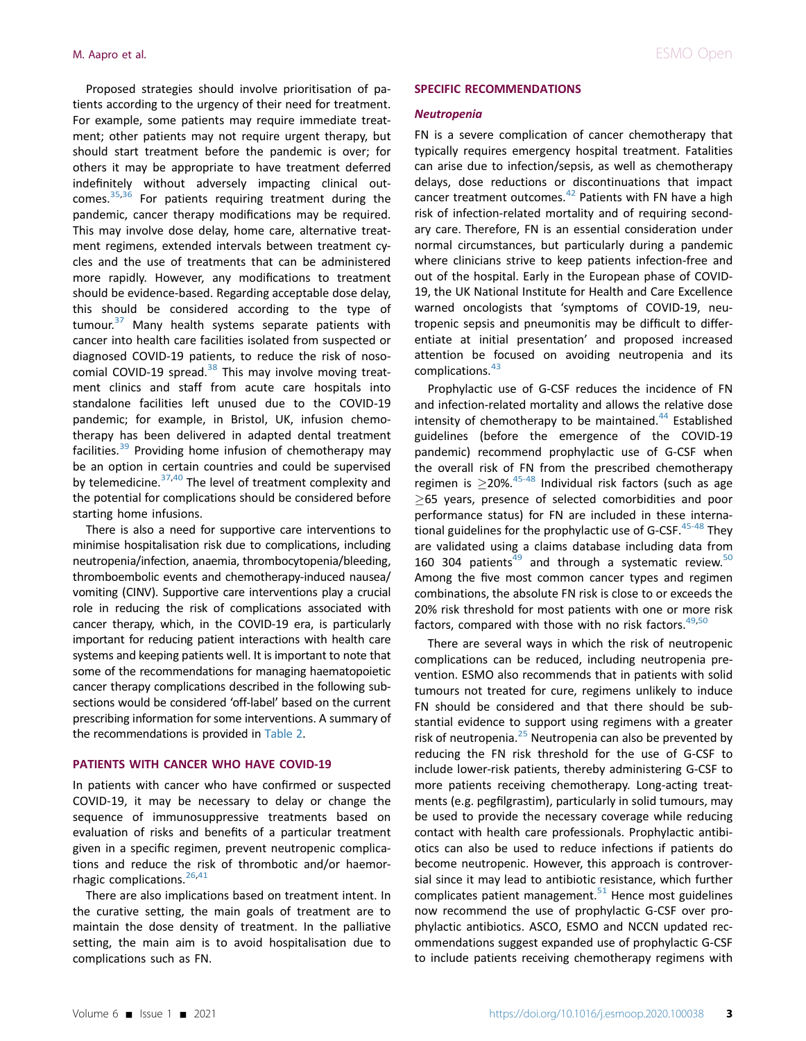Proposed strategies should involve prioritisation of patients according to the urgency of their need for treatment. For example, some patients may require immediate treatment; other patients may not require urgent therapy, but should start treatment before the pandemic is over; for others it may be appropriate to have treatment deferred indefinitely without adversely impacting clinical out-comes.<sup>[35](#page-8-8)[,36](#page-8-9)</sup> For patients requiring treatment during the pandemic, cancer therapy modifications may be required. This may involve dose delay, home care, alternative treatment regimens, extended intervals between treatment cycles and the use of treatments that can be administered more rapidly. However, any modifications to treatment should be evidence-based. Regarding acceptable dose delay, this should be considered according to the type of tumour.<sup>[37](#page-8-10)</sup> Many health systems separate patients with cancer into health care facilities isolated from suspected or diagnosed COVID-19 patients, to reduce the risk of nosocomial COVID-19 spread. $38$  This may involve moving treatment clinics and staff from acute care hospitals into standalone facilities left unused due to the COVID-19 pandemic; for example, in Bristol, UK, infusion chemotherapy has been delivered in adapted dental treatment facilities. $39$  Providing home infusion of chemotherapy may be an option in certain countries and could be supervised by telemedicine.<sup>[37,](#page-8-10)[40](#page-8-13)</sup> The level of treatment complexity and the potential for complications should be considered before starting home infusions.

There is also a need for supportive care interventions to minimise hospitalisation risk due to complications, including neutropenia/infection, anaemia, thrombocytopenia/bleeding, thromboembolic events and chemotherapy-induced nausea/ vomiting (CINV). Supportive care interventions play a crucial role in reducing the risk of complications associated with cancer therapy, which, in the COVID-19 era, is particularly important for reducing patient interactions with health care systems and keeping patients well. It is important to note that some of the recommendations for managing haematopoietic cancer therapy complications described in the following subsections would be considered 'off-label' based on the current prescribing information for some interventions. A summary of the recommendations is provided in [Table 2.](#page-3-0)

#### PATIENTS WITH CANCER WHO HAVE COVID-19

In patients with cancer who have confirmed or suspected COVID-19, it may be necessary to delay or change the sequence of immunosuppressive treatments based on evaluation of risks and benefits of a particular treatment given in a specific regimen, prevent neutropenic complications and reduce the risk of thrombotic and/or haemorrhagic complications. $26,41$  $26,41$ 

There are also implications based on treatment intent. In the curative setting, the main goals of treatment are to maintain the dose density of treatment. In the palliative setting, the main aim is to avoid hospitalisation due to complications such as FN.

#### SPECIFIC RECOMMENDATIONS

#### Neutropenia

FN is a severe complication of cancer chemotherapy that typically requires emergency hospital treatment. Fatalities can arise due to infection/sepsis, as well as chemotherapy delays, dose reductions or discontinuations that impact cancer treatment outcomes. $42$  Patients with FN have a high risk of infection-related mortality and of requiring secondary care. Therefore, FN is an essential consideration under normal circumstances, but particularly during a pandemic where clinicians strive to keep patients infection-free and out of the hospital. Early in the European phase of COVID-19, the UK National Institute for Health and Care Excellence warned oncologists that 'symptoms of COVID-19, neutropenic sepsis and pneumonitis may be difficult to differentiate at initial presentation' and proposed increased attention be focused on avoiding neutropenia and its complications.<sup>[43](#page-8-17)</sup>

Prophylactic use of G-CSF reduces the incidence of FN and infection-related mortality and allows the relative dose intensity of chemotherapy to be maintained.<sup>[44](#page-8-18)</sup> Established guidelines (before the emergence of the COVID-19 pandemic) recommend prophylactic use of G-CSF when the overall risk of FN from the prescribed chemotherapy regimen is  $\geq$ 20%.<sup>[45-48](#page-8-19)</sup> Individual risk factors (such as age  $\geq$ 65 years, presence of selected comorbidities and poor performance status) for FN are included in these international guidelines for the prophylactic use of G-CSF.  $45-48$  They are validated using a claims database including data from 160 304 patients $49$  and through a systematic review.<sup>[50](#page-9-1)</sup> Among the five most common cancer types and regimen combinations, the absolute FN risk is close to or exceeds the 20% risk threshold for most patients with one or more risk factors, compared with those with no risk factors. $49,50$  $49,50$ 

There are several ways in which the risk of neutropenic complications can be reduced, including neutropenia prevention. ESMO also recommends that in patients with solid tumours not treated for cure, regimens unlikely to induce FN should be considered and that there should be substantial evidence to support using regimens with a greater risk of neutropenia. $25$  Neutropenia can also be prevented by reducing the FN risk threshold for the use of G-CSF to include lower-risk patients, thereby administering G-CSF to more patients receiving chemotherapy. Long-acting treatments (e.g. pegfilgrastim), particularly in solid tumours, may be used to provide the necessary coverage while reducing contact with health care professionals. Prophylactic antibiotics can also be used to reduce infections if patients do become neutropenic. However, this approach is controversial since it may lead to antibiotic resistance, which further complicates patient management. $51$  Hence most guidelines now recommend the use of prophylactic G-CSF over prophylactic antibiotics. ASCO, ESMO and NCCN updated recommendations suggest expanded use of prophylactic G-CSF to include patients receiving chemotherapy regimens with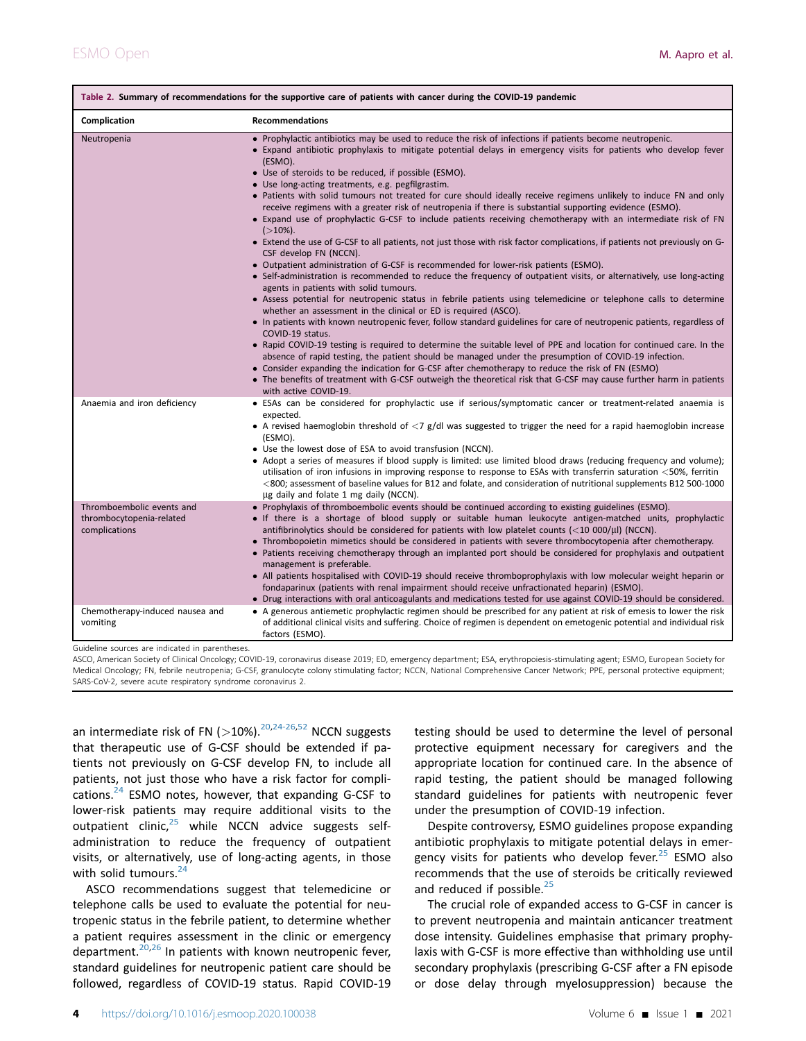<span id="page-3-0"></span>

| Table 2. Summary of recommendations for the supportive care of patients with cancer during the COVID-19 pandemic |                                                                                                                                                                                                                                                                                                                                                                                                                                                                                                                                                                                                                                                                                                                                                                                                                                                                                                                                                                                                                                                                                                                                                                                                                                                                                                                                                                                                                                                                                                                                                                                                                                                                                                                                                                                                                                                                                                                                                             |  |
|------------------------------------------------------------------------------------------------------------------|-------------------------------------------------------------------------------------------------------------------------------------------------------------------------------------------------------------------------------------------------------------------------------------------------------------------------------------------------------------------------------------------------------------------------------------------------------------------------------------------------------------------------------------------------------------------------------------------------------------------------------------------------------------------------------------------------------------------------------------------------------------------------------------------------------------------------------------------------------------------------------------------------------------------------------------------------------------------------------------------------------------------------------------------------------------------------------------------------------------------------------------------------------------------------------------------------------------------------------------------------------------------------------------------------------------------------------------------------------------------------------------------------------------------------------------------------------------------------------------------------------------------------------------------------------------------------------------------------------------------------------------------------------------------------------------------------------------------------------------------------------------------------------------------------------------------------------------------------------------------------------------------------------------------------------------------------------------|--|
| Complication                                                                                                     | <b>Recommendations</b>                                                                                                                                                                                                                                                                                                                                                                                                                                                                                                                                                                                                                                                                                                                                                                                                                                                                                                                                                                                                                                                                                                                                                                                                                                                                                                                                                                                                                                                                                                                                                                                                                                                                                                                                                                                                                                                                                                                                      |  |
| Neutropenia                                                                                                      | • Prophylactic antibiotics may be used to reduce the risk of infections if patients become neutropenic.<br>• Expand antibiotic prophylaxis to mitigate potential delays in emergency visits for patients who develop fever<br>(ESMO).<br>• Use of steroids to be reduced, if possible (ESMO).<br>· Use long-acting treatments, e.g. pegfilgrastim.<br>. Patients with solid tumours not treated for cure should ideally receive regimens unlikely to induce FN and only<br>receive regimens with a greater risk of neutropenia if there is substantial supporting evidence (ESMO).<br>• Expand use of prophylactic G-CSF to include patients receiving chemotherapy with an intermediate risk of FN<br>$( > 10\%).$<br>• Extend the use of G-CSF to all patients, not just those with risk factor complications, if patients not previously on G-<br>CSF develop FN (NCCN).<br>• Outpatient administration of G-CSF is recommended for lower-risk patients (ESMO).<br>• Self-administration is recommended to reduce the frequency of outpatient visits, or alternatively, use long-acting<br>agents in patients with solid tumours.<br>• Assess potential for neutropenic status in febrile patients using telemedicine or telephone calls to determine<br>whether an assessment in the clinical or ED is required (ASCO).<br>• In patients with known neutropenic fever, follow standard guidelines for care of neutropenic patients, regardless of<br>COVID-19 status.<br>• Rapid COVID-19 testing is required to determine the suitable level of PPE and location for continued care. In the<br>absence of rapid testing, the patient should be managed under the presumption of COVID-19 infection.<br>• Consider expanding the indication for G-CSF after chemotherapy to reduce the risk of FN (ESMO)<br>• The benefits of treatment with G-CSF outweigh the theoretical risk that G-CSF may cause further harm in patients<br>with active COVID-19. |  |
| Anaemia and iron deficiency                                                                                      | • ESAs can be considered for prophylactic use if serious/symptomatic cancer or treatment-related anaemia is<br>expected.<br>• A revised haemoglobin threshold of $\langle 7 \text{ g/d} \rangle$ was suggested to trigger the need for a rapid haemoglobin increase<br>(ESMO).<br>• Use the lowest dose of ESA to avoid transfusion (NCCN).<br>• Adopt a series of measures if blood supply is limited: use limited blood draws (reducing frequency and volume);<br>utilisation of iron infusions in improving response to response to ESAs with transferrin saturation <50%, ferritin<br>$<$ 800; assessment of baseline values for B12 and folate, and consideration of nutritional supplements B12 500-1000<br>µg daily and folate 1 mg daily (NCCN).                                                                                                                                                                                                                                                                                                                                                                                                                                                                                                                                                                                                                                                                                                                                                                                                                                                                                                                                                                                                                                                                                                                                                                                                    |  |
| Thromboembolic events and<br>thrombocytopenia-related<br>complications                                           | • Prophylaxis of thromboembolic events should be continued according to existing guidelines (ESMO).<br>• If there is a shortage of blood supply or suitable human leukocyte antigen-matched units, prophylactic<br>antifibrinolytics should be considered for patients with low platelet counts $\left($ < 10 000/ $\mu$ l) (NCCN).<br>• Thrombopoietin mimetics should be considered in patients with severe thrombocytopenia after chemotherapy.<br>• Patients receiving chemotherapy through an implanted port should be considered for prophylaxis and outpatient<br>management is preferable.<br>• All patients hospitalised with COVID-19 should receive thromboprophylaxis with low molecular weight heparin or<br>fondaparinux (patients with renal impairment should receive unfractionated heparin) (ESMO).<br>• Drug interactions with oral anticoagulants and medications tested for use against COVID-19 should be considered.                                                                                                                                                                                                                                                                                                                                                                                                                                                                                                                                                                                                                                                                                                                                                                                                                                                                                                                                                                                                                 |  |
| Chemotherapy-induced nausea and<br>vomiting                                                                      | • A generous antiemetic prophylactic regimen should be prescribed for any patient at risk of emesis to lower the risk<br>of additional clinical visits and suffering. Choice of regimen is dependent on emetogenic potential and individual risk<br>factors (ESMO).                                                                                                                                                                                                                                                                                                                                                                                                                                                                                                                                                                                                                                                                                                                                                                                                                                                                                                                                                                                                                                                                                                                                                                                                                                                                                                                                                                                                                                                                                                                                                                                                                                                                                         |  |

Guideline sources are indicated in parentheses.

ASCO, American Society of Clinical Oncology; COVID-19, coronavirus disease 2019; ED, emergency department; ESA, erythropoiesis-stimulating agent; ESMO, European Society for Medical Oncology; FN, febrile neutropenia; G-CSF, granulocyte colony stimulating factor; NCCN, National Comprehensive Cancer Network; PPE, personal protective equipment; SARS-CoV-2, severe acute respiratory syndrome coronavirus 2.

an intermediate risk of FN ( $>$ 10%).<sup>[20,](#page-8-5)[24-26,](#page-8-6)[52](#page-9-3)</sup> NCCN suggests that therapeutic use of G-CSF should be extended if patients not previously on G-CSF develop FN, to include all patients, not just those who have a risk factor for complications. $^{24}$  $^{24}$  $^{24}$  ESMO notes, however, that expanding G-CSF to lower-risk patients may require additional visits to the outpatient clinic, $25$  while NCCN advice suggests selfadministration to reduce the frequency of outpatient visits, or alternatively, use of long-acting agents, in those with solid tumours. $24$ 

ASCO recommendations suggest that telemedicine or telephone calls be used to evaluate the potential for neutropenic status in the febrile patient, to determine whether a patient requires assessment in the clinic or emergency department. $20,26$  $20,26$  In patients with known neutropenic fever, standard guidelines for neutropenic patient care should be followed, regardless of COVID-19 status. Rapid COVID-19

testing should be used to determine the level of personal protective equipment necessary for caregivers and the appropriate location for continued care. In the absence of rapid testing, the patient should be managed following standard guidelines for patients with neutropenic fever under the presumption of COVID-19 infection.

Despite controversy, ESMO guidelines propose expanding antibiotic prophylaxis to mitigate potential delays in emergency visits for patients who develop fever. $25$  ESMO also recommends that the use of steroids be critically reviewed and reduced if possible.<sup>[25](#page-8-20)</sup>

The crucial role of expanded access to G-CSF in cancer is to prevent neutropenia and maintain anticancer treatment dose intensity. Guidelines emphasise that primary prophylaxis with G-CSF is more effective than withholding use until secondary prophylaxis (prescribing G-CSF after a FN episode or dose delay through myelosuppression) because the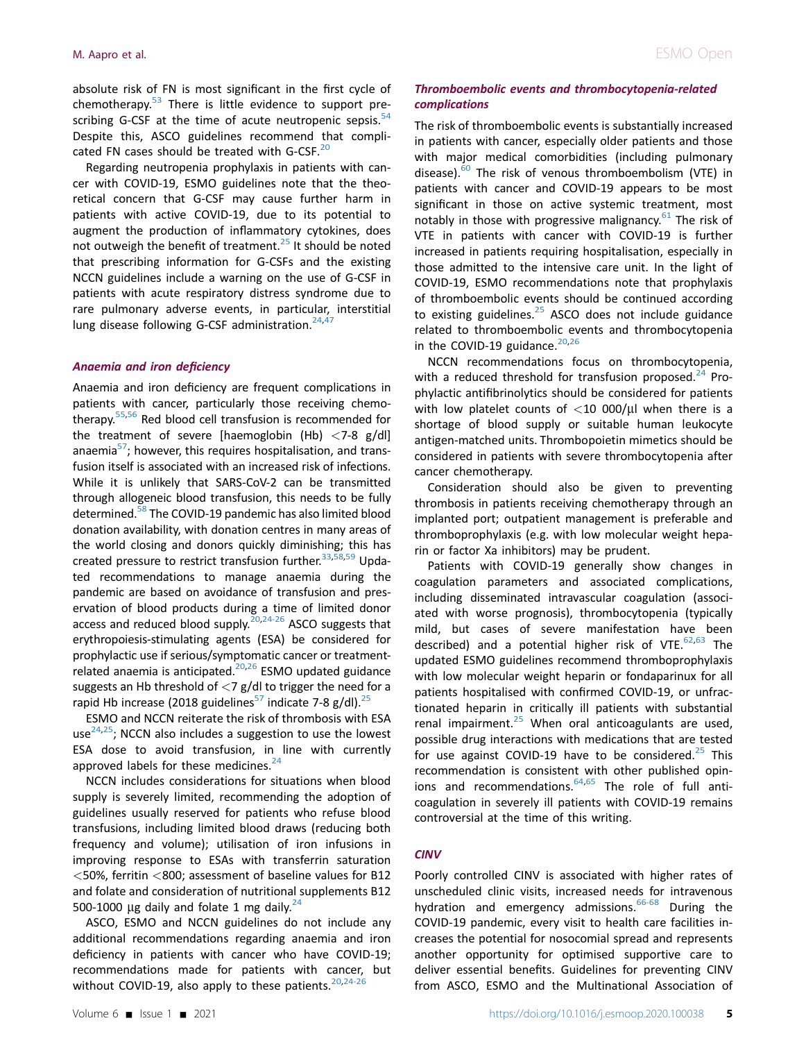absolute risk of FN is most significant in the first cycle of chemotherapy. $53$  There is little evidence to support prescribing G-CSF at the time of acute neutropenic sepsis. $54$ Despite this, ASCO guidelines recommend that complicated FN cases should be treated with G-CSF.<sup>20</sup>

Regarding neutropenia prophylaxis in patients with cancer with COVID-19, ESMO guidelines note that the theoretical concern that G-CSF may cause further harm in patients with active COVID-19, due to its potential to augment the production of inflammatory cytokines, does not outweigh the benefit of treatment. $^{25}$  $^{25}$  $^{25}$  It should be noted that prescribing information for G-CSFs and the existing NCCN guidelines include a warning on the use of G-CSF in patients with acute respiratory distress syndrome due to rare pulmonary adverse events, in particular, interstitial lung disease following G-CSF administration.<sup>[24,](#page-8-6)[47](#page-8-21)</sup>

#### Anaemia and iron deficiency

Anaemia and iron deficiency are frequent complications in patients with cancer, particularly those receiving chemotherapy.[55](#page-9-6),[56](#page-9-7) Red blood cell transfusion is recommended for the treatment of severe [haemoglobin (Hb)  $\langle 7-8 \rangle$  g/dl] anaemia<sup>57</sup>; however, this requires hospitalisation, and transfusion itself is associated with an increased risk of infections. While it is unlikely that SARS-CoV-2 can be transmitted through allogeneic blood transfusion, this needs to be fully determined[.58](#page-9-9) The COVID-19 pandemic has also limited blood donation availability, with donation centres in many areas of the world closing and donors quickly diminishing; this has created pressure to restrict transfusion further.<sup>33,[58,](#page-9-9)[59](#page-9-10)</sup> Updated recommendations to manage anaemia during the pandemic are based on avoidance of transfusion and preservation of blood products during a time of limited donor access and reduced blood supply. $20,24-26$  $20,24-26$  ASCO suggests that erythropoiesis-stimulating agents (ESA) be considered for prophylactic use if serious/symptomatic cancer or treatmentrelated anaemia is anticipated. $20,26$  $20,26$  $20,26$  ESMO updated guidance suggests an Hb threshold of  $\langle 7 \text{ g/d} \rangle$  to trigger the need for a rapid Hb increase (2018 guidelines<sup>57</sup> indicate 7-8 g/dl).<sup>25</sup>

ESMO and NCCN reiterate the risk of thrombosis with ESA use<sup>[24](#page-8-6),25</sup>; NCCN also includes a suggestion to use the lowest ESA dose to avoid transfusion, in line with currently approved labels for these medicines. $24$ 

NCCN includes considerations for situations when blood supply is severely limited, recommending the adoption of guidelines usually reserved for patients who refuse blood transfusions, including limited blood draws (reducing both frequency and volume); utilisation of iron infusions in improving response to ESAs with transferrin saturation <50%, ferritin <800; assessment of baseline values for B12 and folate and consideration of nutritional supplements B12 500-1000 µg daily and folate 1 mg daily. $^{24}$  $^{24}$  $^{24}$ 

ASCO, ESMO and NCCN guidelines do not include any additional recommendations regarding anaemia and iron deficiency in patients with cancer who have COVID-19; recommendations made for patients with cancer, but without COVID-19, also apply to these patients. $20,24-26$  $20,24-26$ 

# Thromboembolic events and thrombocytopenia-related complications

The risk of thromboembolic events is substantially increased in patients with cancer, especially older patients and those with major medical comorbidities (including pulmonary disease).<sup>[60](#page-9-11)</sup> The risk of venous thromboembolism (VTE) in patients with cancer and COVID-19 appears to be most significant in those on active systemic treatment, most notably in those with progressive malignancy. $61$  The risk of VTE in patients with cancer with COVID-19 is further increased in patients requiring hospitalisation, especially in those admitted to the intensive care unit. In the light of COVID-19, ESMO recommendations note that prophylaxis of thromboembolic events should be continued according to existing guidelines. $25$  ASCO does not include guidance related to thromboembolic events and thrombocytopenia in the COVID-19 guidance. $20,26$  $20,26$  $20,26$ 

NCCN recommendations focus on thrombocytopenia, with a reduced threshold for transfusion proposed.<sup>[24](#page-8-6)</sup> Prophylactic antifibrinolytics should be considered for patients with low platelet counts of  $<$  10 000/ $\mu$ l when there is a shortage of blood supply or suitable human leukocyte antigen-matched units. Thrombopoietin mimetics should be considered in patients with severe thrombocytopenia after cancer chemotherapy.

Consideration should also be given to preventing thrombosis in patients receiving chemotherapy through an implanted port; outpatient management is preferable and thromboprophylaxis (e.g. with low molecular weight heparin or factor Xa inhibitors) may be prudent.

Patients with COVID-19 generally show changes in coagulation parameters and associated complications, including disseminated intravascular coagulation (associated with worse prognosis), thrombocytopenia (typically mild, but cases of severe manifestation have been described) and a potential higher risk of VTE. $62,63$  $62,63$  $62,63$  The updated ESMO guidelines recommend thromboprophylaxis with low molecular weight heparin or fondaparinux for all patients hospitalised with confirmed COVID-19, or unfractionated heparin in critically ill patients with substantial renal impairment. $25$  When oral anticoagulants are used, possible drug interactions with medications that are tested for use against COVID-19 have to be considered.<sup>25</sup> This recommendation is consistent with other published opinions and recommendations. $64,65$  $64,65$  The role of full anticoagulation in severely ill patients with COVID-19 remains controversial at the time of this writing.

# CINV

Poorly controlled CINV is associated with higher rates of unscheduled clinic visits, increased needs for intravenous hydration and emergency admissions.<sup>[66-68](#page-9-17)</sup> During the COVID-19 pandemic, every visit to health care facilities increases the potential for nosocomial spread and represents another opportunity for optimised supportive care to deliver essential benefits. Guidelines for preventing CINV from ASCO, ESMO and the Multinational Association of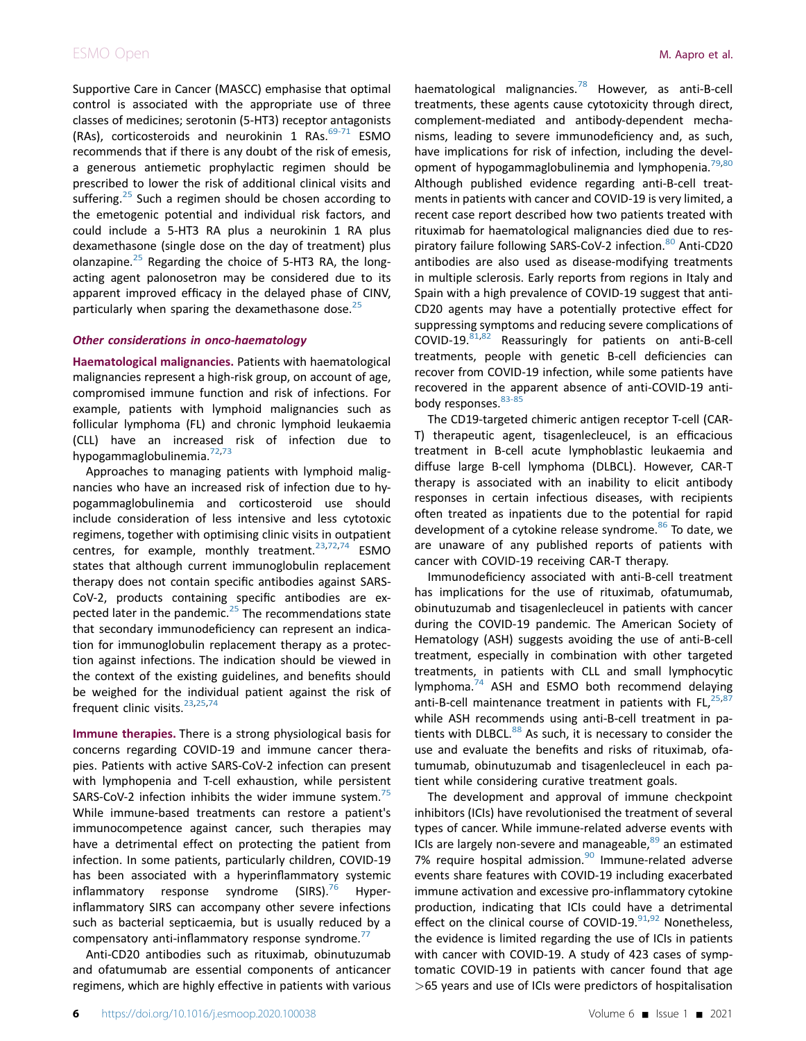# ESMO Open **M. Aapro et al.**

Supportive Care in Cancer (MASCC) emphasise that optimal control is associated with the appropriate use of three classes of medicines; serotonin (5-HT3) receptor antagonists (RAs), corticosteroids and neurokinin 1 RAs. $69-71$  ESMO recommends that if there is any doubt of the risk of emesis, a generous antiemetic prophylactic regimen should be prescribed to lower the risk of additional clinical visits and suffering.<sup>[25](#page-8-20)</sup> Such a regimen should be chosen according to the emetogenic potential and individual risk factors, and could include a 5-HT3 RA plus a neurokinin 1 RA plus dexamethasone (single dose on the day of treatment) plus olanzapine. $^{25}$  $^{25}$  $^{25}$  Regarding the choice of 5-HT3 RA, the longacting agent palonosetron may be considered due to its apparent improved efficacy in the delayed phase of CINV, particularly when sparing the dexamethasone dose. $25$ 

# Other considerations in onco-haematology

Haematological malignancies. Patients with haematological malignancies represent a high-risk group, on account of age, compromised immune function and risk of infections. For example, patients with lymphoid malignancies such as follicular lymphoma (FL) and chronic lymphoid leukaemia (CLL) have an increased risk of infection due to hypogammaglobulinemia.<sup>[72](#page-9-19),[73](#page-9-20)</sup>

Approaches to managing patients with lymphoid malignancies who have an increased risk of infection due to hypogammaglobulinemia and corticosteroid use should include consideration of less intensive and less cytotoxic regimens, together with optimising clinic visits in outpatient centres, for example, monthly treatment.<sup>[23](#page-8-23)[,72](#page-9-19)[,74](#page-9-21)</sup> ESMO states that although current immunoglobulin replacement therapy does not contain specific antibodies against SARS-CoV-2, products containing specific antibodies are ex-pected later in the pandemic.<sup>[25](#page-8-20)</sup> The recommendations state that secondary immunodeficiency can represent an indication for immunoglobulin replacement therapy as a protection against infections. The indication should be viewed in the context of the existing guidelines, and benefits should be weighed for the individual patient against the risk of frequent clinic visits.<sup>[23](#page-8-23)[,25](#page-8-20)[,74](#page-9-21)</sup>

Immune therapies. There is a strong physiological basis for concerns regarding COVID-19 and immune cancer therapies. Patients with active SARS-CoV-2 infection can present with lymphopenia and T-cell exhaustion, while persistent SARS-CoV-2 infection inhibits the wider immune system.<sup>[75](#page-9-22)</sup> While immune-based treatments can restore a patient's immunocompetence against cancer, such therapies may have a detrimental effect on protecting the patient from infection. In some patients, particularly children, COVID-19 has been associated with a hyperinflammatory systemic inflammatory response syndrome  $(SIRS).<sup>76</sup>$  $(SIRS).<sup>76</sup>$  $(SIRS).<sup>76</sup>$  Hyperinflammatory SIRS can accompany other severe infections such as bacterial septicaemia, but is usually reduced by a compensatory anti-inflammatory response syndrome.<sup>[77](#page-9-24)</sup>

Anti-CD20 antibodies such as rituximab, obinutuzumab and ofatumumab are essential components of anticancer regimens, which are highly effective in patients with various haematological malignancies.[78](#page-9-25) However, as anti-B-cell treatments, these agents cause cytotoxicity through direct, complement-mediated and antibody-dependent mechanisms, leading to severe immunodeficiency and, as such, have implications for risk of infection, including the devel-opment of hypogammaglobulinemia and lymphopenia.<sup>[79,](#page-9-26)[80](#page-9-27)</sup> Although published evidence regarding anti-B-cell treatments in patients with cancer and COVID-19 is very limited, a recent case report described how two patients treated with rituximab for haematological malignancies died due to res-piratory failure following SARS-CoV-2 infection.<sup>[80](#page-9-27)</sup> Anti-CD20 antibodies are also used as disease-modifying treatments in multiple sclerosis. Early reports from regions in Italy and Spain with a high prevalence of COVID-19 suggest that anti-CD20 agents may have a potentially protective effect for suppressing symptoms and reducing severe complications of COVID-19. $81,82$  $81,82$  $81,82$  Reassuringly for patients on anti-B-cell treatments, people with genetic B-cell deficiencies can recover from COVID-19 infection, while some patients have recovered in the apparent absence of anti-COVID-19 anti-body responses. [83-85](#page-9-30)

The CD19-targeted chimeric antigen receptor T-cell (CAR-T) therapeutic agent, tisagenlecleucel, is an efficacious treatment in B-cell acute lymphoblastic leukaemia and diffuse large B-cell lymphoma (DLBCL). However, CAR-T therapy is associated with an inability to elicit antibody responses in certain infectious diseases, with recipients often treated as inpatients due to the potential for rapid development of a cytokine release syndrome.<sup>[86](#page-9-31)</sup> To date, we are unaware of any published reports of patients with cancer with COVID-19 receiving CAR-T therapy.

Immunodeficiency associated with anti-B-cell treatment has implications for the use of rituximab, ofatumumab, obinutuzumab and tisagenlecleucel in patients with cancer during the COVID-19 pandemic. The American Society of Hematology (ASH) suggests avoiding the use of anti-B-cell treatment, especially in combination with other targeted treatments, in patients with CLL and small lymphocytic lymphoma.[74](#page-9-21) ASH and ESMO both recommend delaying anti-B-cell maintenance treatment in patients with FL, $^{25,87}$  $^{25,87}$  $^{25,87}$  $^{25,87}$ while ASH recommends using anti-B-cell treatment in patients with DLBCL.<sup>88</sup> As such, it is necessary to consider the use and evaluate the benefits and risks of rituximab, ofatumumab, obinutuzumab and tisagenlecleucel in each patient while considering curative treatment goals.

The development and approval of immune checkpoint inhibitors (ICIs) have revolutionised the treatment of several types of cancer. While immune-related adverse events with ICIs are largely non-severe and manageable, $89$  an estimated 7% require hospital admission.<sup>[90](#page-10-1)</sup> Immune-related adverse events share features with COVID-19 including exacerbated immune activation and excessive pro-inflammatory cytokine production, indicating that ICIs could have a detrimental effect on the clinical course of COVID-19. $91,92$  $91,92$  Nonetheless, the evidence is limited regarding the use of ICIs in patients with cancer with COVID-19. A study of 423 cases of symptomatic COVID-19 in patients with cancer found that age >65 years and use of ICIs were predictors of hospitalisation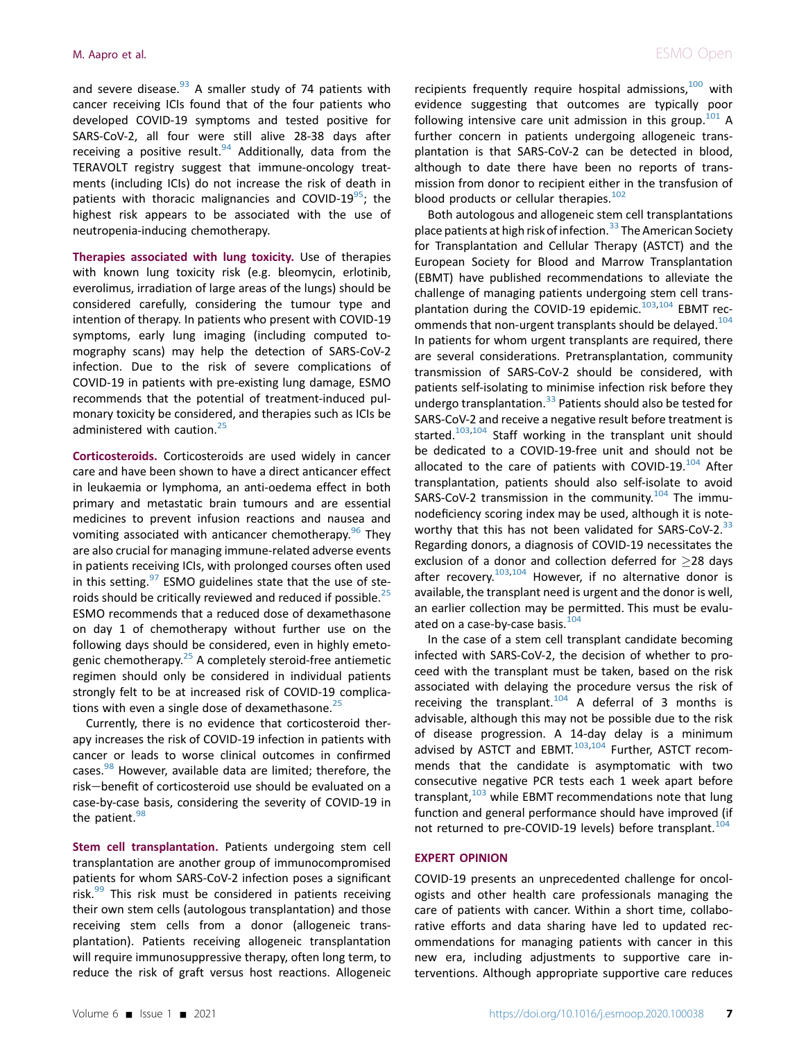and severe disease.  $93$  A smaller study of 74 patients with cancer receiving ICIs found that of the four patients who developed COVID-19 symptoms and tested positive for SARS-CoV-2, all four were still alive 28-38 days after receiving a positive result.<sup>[94](#page-10-5)</sup> Additionally, data from the TERAVOLT registry suggest that immune-oncology treatments (including ICIs) do not increase the risk of death in patients with thoracic malignancies and COVID-19<sup>[95](#page-10-6)</sup>; the highest risk appears to be associated with the use of neutropenia-inducing chemotherapy.

Therapies associated with lung toxicity. Use of therapies with known lung toxicity risk (e.g. bleomycin, erlotinib, everolimus, irradiation of large areas of the lungs) should be considered carefully, considering the tumour type and intention of therapy. In patients who present with COVID-19 symptoms, early lung imaging (including computed tomography scans) may help the detection of SARS-CoV-2 infection. Due to the risk of severe complications of COVID-19 in patients with pre-existing lung damage, ESMO recommends that the potential of treatment-induced pulmonary toxicity be considered, and therapies such as ICIs be administered with caution.<sup>[25](#page-8-20)</sup>

Corticosteroids. Corticosteroids are used widely in cancer care and have been shown to have a direct anticancer effect in leukaemia or lymphoma, an anti-oedema effect in both primary and metastatic brain tumours and are essential medicines to prevent infusion reactions and nausea and vomiting associated with anticancer chemotherapy.  $96$  They are also crucial for managing immune-related adverse events in patients receiving ICIs, with prolonged courses often used in this setting. $97$  ESMO guidelines state that the use of ste-roids should be critically reviewed and reduced if possible.<sup>[25](#page-8-20)</sup> ESMO recommends that a reduced dose of dexamethasone on day 1 of chemotherapy without further use on the following days should be considered, even in highly emetogenic chemotherapy. $25$  A completely steroid-free antiemetic regimen should only be considered in individual patients strongly felt to be at increased risk of COVID-19 complications with even a single dose of dexamethasone. $25$ 

Currently, there is no evidence that corticosteroid therapy increases the risk of COVID-19 infection in patients with cancer or leads to worse clinical outcomes in confirmed cases.<sup>[98](#page-10-9)</sup> However, available data are limited; therefore, the risk-benefit of corticosteroid use should be evaluated on a case-by-case basis, considering the severity of COVID-19 in the patient. $98$ 

Stem cell transplantation. Patients undergoing stem cell transplantation are another group of immunocompromised patients for whom SARS-CoV-2 infection poses a significant risk. $99$  This risk must be considered in patients receiving their own stem cells (autologous transplantation) and those receiving stem cells from a donor (allogeneic transplantation). Patients receiving allogeneic transplantation will require immunosuppressive therapy, often long term, to reduce the risk of graft versus host reactions. Allogeneic

recipients frequently require hospital admissions.<sup>[100](#page-10-11)</sup> with evidence suggesting that outcomes are typically poor following intensive care unit admission in this group.<sup>101</sup> A further concern in patients undergoing allogeneic transplantation is that SARS-CoV-2 can be detected in blood, although to date there have been no reports of transmission from donor to recipient either in the transfusion of blood products or cellular therapies. $102$ 

Both autologous and allogeneic stem cell transplantations place patients at high risk of infection.<sup>[33](#page-8-22)</sup> The American Society for Transplantation and Cellular Therapy (ASTCT) and the European Society for Blood and Marrow Transplantation (EBMT) have published recommendations to alleviate the challenge of managing patients undergoing stem cell transplantation during the COVID-19 epidemic. $103,104$  $103,104$  EBMT rec-ommends that non-urgent transplants should be delayed.<sup>[104](#page-10-12)</sup> In patients for whom urgent transplants are required, there are several considerations. Pretransplantation, community transmission of SARS-CoV-2 should be considered, with patients self-isolating to minimise infection risk before they undergo transplantation.<sup>[33](#page-8-22)</sup> Patients should also be tested for SARS-CoV-2 and receive a negative result before treatment is started.<sup>103[,104](#page-10-15)</sup> Staff working in the transplant unit should be dedicated to a COVID-19-free unit and should not be allocated to the care of patients with COVID-19. $104$  After transplantation, patients should also self-isolate to avoid SARS-CoV-2 transmission in the community.<sup>[104](#page-10-15)</sup> The immunodeficiency scoring index may be used, although it is note-worthy that this has not been validated for SARS-CoV-2.<sup>[33](#page-8-22)</sup> Regarding donors, a diagnosis of COVID-19 necessitates the exclusion of a donor and collection deferred for  $\geq$ 28 days after recovery.<sup>[103](#page-10-14),[104](#page-10-15)</sup> However, if no alternative donor is available, the transplant need is urgent and the donor is well, an earlier collection may be permitted. This must be evaluated on a case-by-case basis. $104$ 

In the case of a stem cell transplant candidate becoming infected with SARS-CoV-2, the decision of whether to proceed with the transplant must be taken, based on the risk associated with delaying the procedure versus the risk of receiving the transplant.<sup>[104](#page-10-15)</sup> A deferral of 3 months is advisable, although this may not be possible due to the risk of disease progression. A 14-day delay is a minimum advised by ASTCT and EBMT. $103,104$  $103,104$  Further, ASTCT recommends that the candidate is asymptomatic with two consecutive negative PCR tests each 1 week apart before transplant, $103$  while EBMT recommendations note that lung function and general performance should have improved (if not returned to pre-COVID-19 levels) before transplant.<sup>[104](#page-10-15)</sup>

#### EXPERT OPINION

COVID-19 presents an unprecedented challenge for oncologists and other health care professionals managing the care of patients with cancer. Within a short time, collaborative efforts and data sharing have led to updated recommendations for managing patients with cancer in this new era, including adjustments to supportive care interventions. Although appropriate supportive care reduces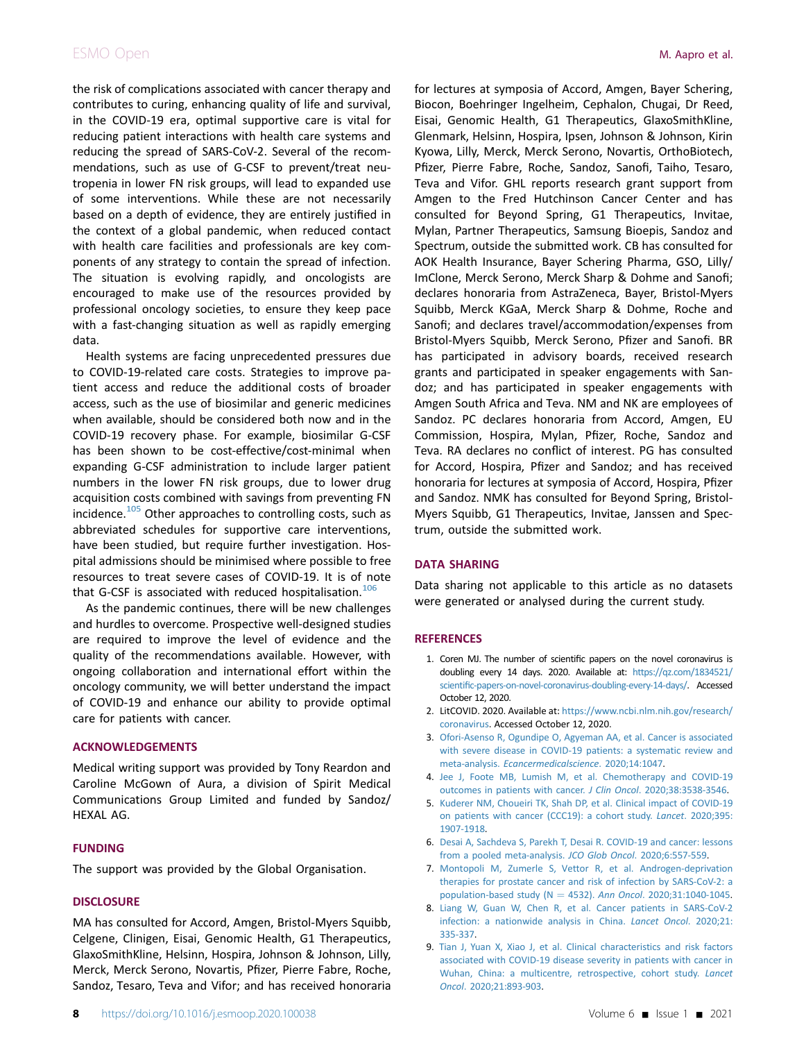the risk of complications associated with cancer therapy and contributes to curing, enhancing quality of life and survival, in the COVID-19 era, optimal supportive care is vital for reducing patient interactions with health care systems and reducing the spread of SARS-CoV-2. Several of the recommendations, such as use of G-CSF to prevent/treat neutropenia in lower FN risk groups, will lead to expanded use of some interventions. While these are not necessarily based on a depth of evidence, they are entirely justified in the context of a global pandemic, when reduced contact with health care facilities and professionals are key components of any strategy to contain the spread of infection. The situation is evolving rapidly, and oncologists are encouraged to make use of the resources provided by professional oncology societies, to ensure they keep pace with a fast-changing situation as well as rapidly emerging data.

Health systems are facing unprecedented pressures due to COVID-19-related care costs. Strategies to improve patient access and reduce the additional costs of broader access, such as the use of biosimilar and generic medicines when available, should be considered both now and in the COVID-19 recovery phase. For example, biosimilar G-CSF has been shown to be cost-effective/cost-minimal when expanding G-CSF administration to include larger patient numbers in the lower FN risk groups, due to lower drug acquisition costs combined with savings from preventing FN incidence. $105$  Other approaches to controlling costs, such as abbreviated schedules for supportive care interventions, have been studied, but require further investigation. Hospital admissions should be minimised where possible to free resources to treat severe cases of COVID-19. It is of note that G-CSF is associated with reduced hospitalisation.<sup>[106](#page-10-17)</sup>

As the pandemic continues, there will be new challenges and hurdles to overcome. Prospective well-designed studies are required to improve the level of evidence and the quality of the recommendations available. However, with ongoing collaboration and international effort within the oncology community, we will better understand the impact of COVID-19 and enhance our ability to provide optimal care for patients with cancer.

# ACKNOWLEDGEMENTS

Medical writing support was provided by Tony Reardon and Caroline McGown of Aura, a division of Spirit Medical Communications Group Limited and funded by Sandoz/ HEXAL AG.

# FUNDING

The support was provided by the Global Organisation.

# **DISCLOSURE**

MA has consulted for Accord, Amgen, Bristol-Myers Squibb, Celgene, Clinigen, Eisai, Genomic Health, G1 Therapeutics, GlaxoSmithKline, Helsinn, Hospira, Johnson & Johnson, Lilly, Merck, Merck Serono, Novartis, Pfizer, Pierre Fabre, Roche, Sandoz, Tesaro, Teva and Vifor; and has received honoraria

for lectures at symposia of Accord, Amgen, Bayer Schering, Biocon, Boehringer Ingelheim, Cephalon, Chugai, Dr Reed, Eisai, Genomic Health, G1 Therapeutics, GlaxoSmithKline, Glenmark, Helsinn, Hospira, Ipsen, Johnson & Johnson, Kirin Kyowa, Lilly, Merck, Merck Serono, Novartis, OrthoBiotech, Pfizer, Pierre Fabre, Roche, Sandoz, Sanofi, Taiho, Tesaro, Teva and Vifor. GHL reports research grant support from Amgen to the Fred Hutchinson Cancer Center and has consulted for Beyond Spring, G1 Therapeutics, Invitae, Mylan, Partner Therapeutics, Samsung Bioepis, Sandoz and Spectrum, outside the submitted work. CB has consulted for AOK Health Insurance, Bayer Schering Pharma, GSO, Lilly/ ImClone, Merck Serono, Merck Sharp & Dohme and Sanofi; declares honoraria from AstraZeneca, Bayer, Bristol-Myers Squibb, Merck KGaA, Merck Sharp & Dohme, Roche and Sanofi; and declares travel/accommodation/expenses from Bristol-Myers Squibb, Merck Serono, Pfizer and Sanofi. BR has participated in advisory boards, received research grants and participated in speaker engagements with Sandoz; and has participated in speaker engagements with Amgen South Africa and Teva. NM and NK are employees of Sandoz. PC declares honoraria from Accord, Amgen, EU Commission, Hospira, Mylan, Pfizer, Roche, Sandoz and Teva. RA declares no conflict of interest. PG has consulted for Accord, Hospira, Pfizer and Sandoz; and has received honoraria for lectures at symposia of Accord, Hospira, Pfizer and Sandoz. NMK has consulted for Beyond Spring, Bristol-Myers Squibb, G1 Therapeutics, Invitae, Janssen and Spectrum, outside the submitted work.

# DATA SHARING

Data sharing not applicable to this article as no datasets were generated or analysed during the current study.

# <span id="page-7-0"></span>**REFERENCES**

- 1. Coren MJ. The number of scientific papers on the novel coronavirus is doubling every 14 days. 2020. Available at: [https://qz.com/1834521/](https://qz.com/1834521/scientific-papers-on-novel-coronavirus-doubling-every-14-days/) scientifi[c-papers-on-novel-coronavirus-doubling-every-14-days/](https://qz.com/1834521/scientific-papers-on-novel-coronavirus-doubling-every-14-days/). Accessed October 12, 2020.
- <span id="page-7-2"></span><span id="page-7-1"></span>2. LitCOVID. 2020. Available at: [https://www.ncbi.nlm.nih.gov/research/](https://www.ncbi.nlm.nih.gov/research/coronavirus) [coronavirus.](https://www.ncbi.nlm.nih.gov/research/coronavirus) Accessed October 12, 2020.
- 3. [Ofori-Asenso R, Ogundipe O, Agyeman AA, et al. Cancer is associated](http://refhub.elsevier.com/S2059-7029(20)32904-5/sref3) [with severe disease in COVID-19 patients: a systematic review and](http://refhub.elsevier.com/S2059-7029(20)32904-5/sref3) meta-analysis. [Ecancermedicalscience](http://refhub.elsevier.com/S2059-7029(20)32904-5/sref3). 2020;14:1047.
- <span id="page-7-3"></span>4. [Jee J, Foote MB, Lumish M, et al. Chemotherapy and COVID-19](http://refhub.elsevier.com/S2059-7029(20)32904-5/sref4) [outcomes in patients with cancer.](http://refhub.elsevier.com/S2059-7029(20)32904-5/sref4) J Clin Oncol. 2020;38:3538-3546.
- 5. [Kuderer NM, Choueiri TK, Shah DP, et al. Clinical impact of COVID-19](http://refhub.elsevier.com/S2059-7029(20)32904-5/sref5) [on patients with cancer \(CCC19\): a cohort study.](http://refhub.elsevier.com/S2059-7029(20)32904-5/sref5) Lancet. 2020;395: [1907-1918.](http://refhub.elsevier.com/S2059-7029(20)32904-5/sref5)
- <span id="page-7-4"></span>6. [Desai A, Sachdeva S, Parekh T, Desai R. COVID-19 and cancer: lessons](http://refhub.elsevier.com/S2059-7029(20)32904-5/sref6) [from a pooled meta-analysis.](http://refhub.elsevier.com/S2059-7029(20)32904-5/sref6) JCO Glob Oncol. 2020;6:557-559.
- 7. [Montopoli M, Zumerle S, Vettor R, et al. Androgen-deprivation](http://refhub.elsevier.com/S2059-7029(20)32904-5/sref7) [therapies for prostate cancer and risk of infection by SARS-CoV-2: a](http://refhub.elsevier.com/S2059-7029(20)32904-5/sref7) [population-based study \(N](http://refhub.elsevier.com/S2059-7029(20)32904-5/sref7) = 4532). Ann Oncol[. 2020;31:1040-1045](http://refhub.elsevier.com/S2059-7029(20)32904-5/sref7).
- 8. [Liang W, Guan W, Chen R, et al. Cancer patients in SARS-CoV-2](http://refhub.elsevier.com/S2059-7029(20)32904-5/sref8) [infection: a nationwide analysis in China.](http://refhub.elsevier.com/S2059-7029(20)32904-5/sref8) Lancet Oncol. 2020;21: [335-337.](http://refhub.elsevier.com/S2059-7029(20)32904-5/sref8)
- 9. [Tian J, Yuan X, Xiao J, et al. Clinical characteristics and risk factors](http://refhub.elsevier.com/S2059-7029(20)32904-5/sref9) [associated with COVID-19 disease severity in patients with cancer in](http://refhub.elsevier.com/S2059-7029(20)32904-5/sref9) [Wuhan, China: a multicentre, retrospective, cohort study.](http://refhub.elsevier.com/S2059-7029(20)32904-5/sref9) Lancet Oncol[. 2020;21:893-903](http://refhub.elsevier.com/S2059-7029(20)32904-5/sref9).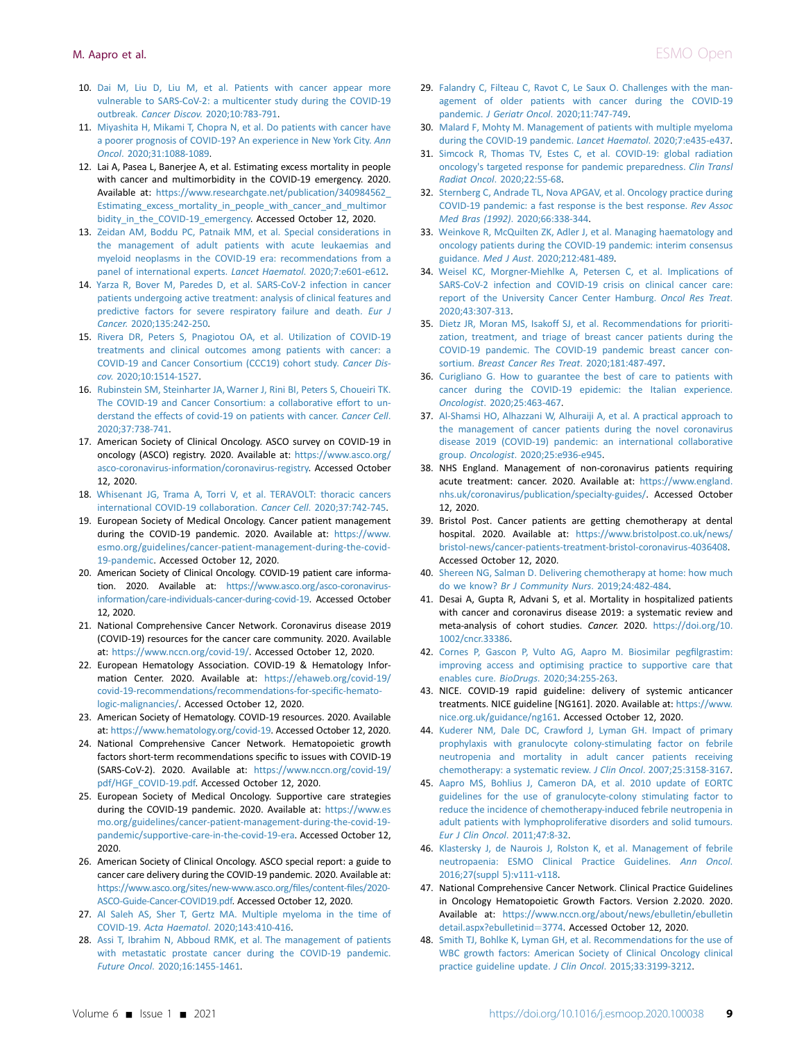- 10. [Dai M, Liu D, Liu M, et al. Patients with cancer appear more](http://refhub.elsevier.com/S2059-7029(20)32904-5/sref10) [vulnerable to SARS-CoV-2: a multicenter study during the COVID-19](http://refhub.elsevier.com/S2059-7029(20)32904-5/sref10) outbreak. Cancer Discov[. 2020;10:783-791.](http://refhub.elsevier.com/S2059-7029(20)32904-5/sref10)
- 11. [Miyashita H, Mikami T, Chopra N, et al. Do patients with cancer have](http://refhub.elsevier.com/S2059-7029(20)32904-5/sref11) [a poorer prognosis of COVID-19? An experience in New York City.](http://refhub.elsevier.com/S2059-7029(20)32904-5/sref11) Ann Oncol[. 2020;31:1088-1089](http://refhub.elsevier.com/S2059-7029(20)32904-5/sref11).
- <span id="page-8-0"></span>12. Lai A, Pasea L, Banerjee A, et al. Estimating excess mortality in people with cancer and multimorbidity in the COVID-19 emergency. 2020. Available at: [https://www.researchgate.net/publication/340984562\\_](https://www.researchgate.net/publication/340984562_Estimating_excess_mortality_in_people_with_cancer_and_multimorbidity_in_the_COVID-19_emergency) [Estimating\\_excess\\_mortality\\_in\\_people\\_with\\_cancer\\_and\\_multimor](https://www.researchgate.net/publication/340984562_Estimating_excess_mortality_in_people_with_cancer_and_multimorbidity_in_the_COVID-19_emergency) bidity in the COVID-19 emergency. Accessed October 12, 2020.
- <span id="page-8-1"></span>13. [Zeidan AM, Boddu PC, Patnaik MM, et al. Special considerations in](http://refhub.elsevier.com/S2059-7029(20)32904-5/sref13) [the management of adult patients with acute leukaemias and](http://refhub.elsevier.com/S2059-7029(20)32904-5/sref13) [myeloid neoplasms in the COVID-19 era: recommendations from a](http://refhub.elsevier.com/S2059-7029(20)32904-5/sref13) [panel of international experts.](http://refhub.elsevier.com/S2059-7029(20)32904-5/sref13) Lancet Haematol. 2020;7:e601-e612.
- <span id="page-8-2"></span>14. [Yarza R, Bover M, Paredes D, et al. SARS-CoV-2 infection in cancer](http://refhub.elsevier.com/S2059-7029(20)32904-5/sref14) [patients undergoing active treatment: analysis of clinical features and](http://refhub.elsevier.com/S2059-7029(20)32904-5/sref14) [predictive factors for severe respiratory failure and death.](http://refhub.elsevier.com/S2059-7029(20)32904-5/sref14) Eur J Cancer[. 2020;135:242-250.](http://refhub.elsevier.com/S2059-7029(20)32904-5/sref14)
- <span id="page-8-3"></span>15. [Rivera DR, Peters S, Pnagiotou OA, et al. Utilization of COVID-19](http://refhub.elsevier.com/S2059-7029(20)32904-5/sref15) [treatments and clinical outcomes among patients with cancer: a](http://refhub.elsevier.com/S2059-7029(20)32904-5/sref15) [COVID-19 and Cancer Consortium \(CCC19\) cohort study.](http://refhub.elsevier.com/S2059-7029(20)32904-5/sref15) Cancer Discov[. 2020;10:1514-1527.](http://refhub.elsevier.com/S2059-7029(20)32904-5/sref15)
- 16. [Rubinstein SM, Steinharter JA, Warner J, Rini BI, Peters S, Choueiri TK.](http://refhub.elsevier.com/S2059-7029(20)32904-5/sref16) [The COVID-19 and Cancer Consortium: a collaborative effort to un](http://refhub.elsevier.com/S2059-7029(20)32904-5/sref16)[derstand the effects of covid-19 on patients with cancer.](http://refhub.elsevier.com/S2059-7029(20)32904-5/sref16) Cancer Cell. [2020;37:738-741](http://refhub.elsevier.com/S2059-7029(20)32904-5/sref16).
- 17. American Society of Clinical Oncology. ASCO survey on COVID-19 in oncology (ASCO) registry. 2020. Available at: [https://www.asco.org/](https://www.asco.org/asco-coronavirus-information/coronavirus-registry) [asco-coronavirus-information/coronavirus-registry.](https://www.asco.org/asco-coronavirus-information/coronavirus-registry) Accessed October 12, 2020.
- 18. [Whisenant JG, Trama A, Torri V, et al. TERAVOLT: thoracic cancers](http://refhub.elsevier.com/S2059-7029(20)32904-5/sref18) [international COVID-19 collaboration.](http://refhub.elsevier.com/S2059-7029(20)32904-5/sref18) Cancer Cell. 2020;37:742-745.
- <span id="page-8-4"></span>19. European Society of Medical Oncology. Cancer patient management during the COVID-19 pandemic. 2020. Available at: [https://www.](https://www.esmo.org/guidelines/cancer-patient-management-during-the-covid-19-pandemic) [esmo.org/guidelines/cancer-patient-management-during-the-covid-](https://www.esmo.org/guidelines/cancer-patient-management-during-the-covid-19-pandemic)[19-pandemic.](https://www.esmo.org/guidelines/cancer-patient-management-during-the-covid-19-pandemic) Accessed October 12, 2020.
- <span id="page-8-5"></span>20. American Society of Clinical Oncology. COVID-19 patient care information. 2020. Available at: [https://www.asco.org/asco-coronavirus](https://www.asco.org/asco-coronavirus-information/care-individuals-cancer-during-covid-19)[information/care-individuals-cancer-during-covid-19.](https://www.asco.org/asco-coronavirus-information/care-individuals-cancer-during-covid-19) Accessed October 12, 2020.
- 21. National Comprehensive Cancer Network. Coronavirus disease 2019 (COVID-19) resources for the cancer care community. 2020. Available at: <https://www.nccn.org/covid-19/>. Accessed October 12, 2020.
- 22. European Hematology Association. COVID-19 & Hematology Information Center. 2020. Available at: [https://ehaweb.org/covid-19/](https://ehaweb.org/covid-19/covid-19-recommendations/recommendations-for-specific-hematologic-malignancies/) [covid-19-recommendations/recommendations-for-speci](https://ehaweb.org/covid-19/covid-19-recommendations/recommendations-for-specific-hematologic-malignancies/)fic-hemato[logic-malignancies/.](https://ehaweb.org/covid-19/covid-19-recommendations/recommendations-for-specific-hematologic-malignancies/) Accessed October 12, 2020.
- <span id="page-8-23"></span>23. American Society of Hematology. COVID-19 resources. 2020. Available at: [https://www.hematology.org/covid-19.](https://www.hematology.org/covid-19) Accessed October 12, 2020.
- <span id="page-8-6"></span>24. National Comprehensive Cancer Network. Hematopoietic growth factors short-term recommendations specific to issues with COVID-19 (SARS-CoV-2). 2020. Available at: [https://www.nccn.org/covid-19/](https://www.nccn.org/covid-19/pdf/HGF_COVID-19.pdf) [pdf/HGF\\_COVID-19.pdf.](https://www.nccn.org/covid-19/pdf/HGF_COVID-19.pdf) Accessed October 12, 2020.
- <span id="page-8-20"></span>25. European Society of Medical Oncology. Supportive care strategies during the COVID-19 pandemic. 2020. Available at: [https://www.es](https://www.esmo.org/guidelines/cancer-patient-management-during-the-covid-19-pandemic/supportive-care-in-the-covid-19-era) [mo.org/guidelines/cancer-patient-management-during-the-covid-19](https://www.esmo.org/guidelines/cancer-patient-management-during-the-covid-19-pandemic/supportive-care-in-the-covid-19-era) [pandemic/supportive-care-in-the-covid-19-era.](https://www.esmo.org/guidelines/cancer-patient-management-during-the-covid-19-pandemic/supportive-care-in-the-covid-19-era) Accessed October 12, 2020.
- <span id="page-8-14"></span>26. American Society of Clinical Oncology. ASCO special report: a guide to cancer care delivery during the COVID-19 pandemic. 2020. Available at: [https://www.asco.org/sites/new-www.asco.org/](https://www.asco.org/sites/new-www.asco.org/files/content-files/2020-ASCO-Guide-Cancer-COVID19.pdf)files/content-files/2020- [ASCO-Guide-Cancer-COVID19.pdf.](https://www.asco.org/sites/new-www.asco.org/files/content-files/2020-ASCO-Guide-Cancer-COVID19.pdf) Accessed October 12, 2020.
- <span id="page-8-7"></span>27. [Al Saleh AS, Sher T, Gertz MA. Multiple myeloma in the time of](http://refhub.elsevier.com/S2059-7029(20)32904-5/sref27) COVID-19. Acta Haematol[. 2020;143:410-416.](http://refhub.elsevier.com/S2059-7029(20)32904-5/sref27)
- 28. [Assi T, Ibrahim N, Abboud RMK, et al. The management of patients](http://refhub.elsevier.com/S2059-7029(20)32904-5/sref28) [with metastatic prostate cancer during the COVID-19 pandemic.](http://refhub.elsevier.com/S2059-7029(20)32904-5/sref28) Future Oncol[. 2020;16:1455-1461](http://refhub.elsevier.com/S2059-7029(20)32904-5/sref28).
- 29. [Falandry C, Filteau C, Ravot C, Le Saux O. Challenges with the man](http://refhub.elsevier.com/S2059-7029(20)32904-5/sref29)[agement of older patients with cancer during the COVID-19](http://refhub.elsevier.com/S2059-7029(20)32904-5/sref29) pandemic. J Geriatr Oncol[. 2020;11:747-749](http://refhub.elsevier.com/S2059-7029(20)32904-5/sref29).
- 30. [Malard F, Mohty M. Management of patients with multiple myeloma](http://refhub.elsevier.com/S2059-7029(20)32904-5/sref30) [during the COVID-19 pandemic.](http://refhub.elsevier.com/S2059-7029(20)32904-5/sref30) Lancet Haematol. 2020;7:e435-e437.
- 31. [Simcock R, Thomas TV, Estes C, et al. COVID-19: global radiation](http://refhub.elsevier.com/S2059-7029(20)32904-5/sref31) [oncology's targeted response for pandemic preparedness.](http://refhub.elsevier.com/S2059-7029(20)32904-5/sref31) Clin Transl Radiat Oncol[. 2020;22:55-68.](http://refhub.elsevier.com/S2059-7029(20)32904-5/sref31)
- 32. [Sternberg C, Andrade TL, Nova APGAV, et al. Oncology practice during](http://refhub.elsevier.com/S2059-7029(20)32904-5/sref32) [COVID-19 pandemic: a fast response is the best response.](http://refhub.elsevier.com/S2059-7029(20)32904-5/sref32) Rev Assoc Med Bras (1992)[. 2020;66:338-344](http://refhub.elsevier.com/S2059-7029(20)32904-5/sref32).
- <span id="page-8-22"></span>33. [Weinkove R, McQuilten ZK, Adler J, et al. Managing haematology and](http://refhub.elsevier.com/S2059-7029(20)32904-5/sref33) [oncology patients during the COVID-19 pandemic: interim consensus](http://refhub.elsevier.com/S2059-7029(20)32904-5/sref33) guidance. Med J Aust[. 2020;212:481-489.](http://refhub.elsevier.com/S2059-7029(20)32904-5/sref33)
- 34. [Weisel KC, Morgner-Miehlke A, Petersen C, et al. Implications of](http://refhub.elsevier.com/S2059-7029(20)32904-5/sref34) [SARS-CoV-2 infection and COVID-19 crisis on clinical cancer care:](http://refhub.elsevier.com/S2059-7029(20)32904-5/sref34) [report of the University Cancer Center Hamburg.](http://refhub.elsevier.com/S2059-7029(20)32904-5/sref34) Oncol Res Treat. [2020;43:307-313](http://refhub.elsevier.com/S2059-7029(20)32904-5/sref34).
- <span id="page-8-8"></span>35. [Dietz JR, Moran MS, Isakoff SJ, et al. Recommendations for prioriti](http://refhub.elsevier.com/S2059-7029(20)32904-5/sref35)[zation, treatment, and triage of breast cancer patients during the](http://refhub.elsevier.com/S2059-7029(20)32904-5/sref35) [COVID-19 pandemic. The COVID-19 pandemic breast cancer con](http://refhub.elsevier.com/S2059-7029(20)32904-5/sref35)sortium. [Breast Cancer Res Treat](http://refhub.elsevier.com/S2059-7029(20)32904-5/sref35). 2020;181:487-497.
- <span id="page-8-9"></span>36. [Curigliano G. How to guarantee the best of care to patients with](http://refhub.elsevier.com/S2059-7029(20)32904-5/sref36) [cancer during the COVID-19 epidemic: the Italian experience.](http://refhub.elsevier.com/S2059-7029(20)32904-5/sref36) Oncologist[. 2020;25:463-467.](http://refhub.elsevier.com/S2059-7029(20)32904-5/sref36)
- <span id="page-8-10"></span>37. [Al-Shamsi HO, Alhazzani W, Alhuraiji A, et al. A practical approach to](http://refhub.elsevier.com/S2059-7029(20)32904-5/sref37) [the management of cancer patients during the novel coronavirus](http://refhub.elsevier.com/S2059-7029(20)32904-5/sref37) [disease 2019 \(COVID-19\) pandemic: an international collaborative](http://refhub.elsevier.com/S2059-7029(20)32904-5/sref37) group. Oncologist[. 2020;25:e936-e945.](http://refhub.elsevier.com/S2059-7029(20)32904-5/sref37)
- <span id="page-8-11"></span>38. NHS England. Management of non-coronavirus patients requiring acute treatment: cancer. 2020. Available at: [https://www.england.](https://www.england.nhs.uk/coronavirus/publication/specialty-guides/) [nhs.uk/coronavirus/publication/specialty-guides/](https://www.england.nhs.uk/coronavirus/publication/specialty-guides/). Accessed October 12, 2020.
- <span id="page-8-12"></span>39. Bristol Post. Cancer patients are getting chemotherapy at dental hospital. 2020. Available at: [https://www.bristolpost.co.uk/news/](https://www.bristolpost.co.uk/news/bristol-news/cancer-patients-treatment-bristol-coronavirus-4036408) [bristol-news/cancer-patients-treatment-bristol-coronavirus-4036408](https://www.bristolpost.co.uk/news/bristol-news/cancer-patients-treatment-bristol-coronavirus-4036408). Accessed October 12, 2020.
- <span id="page-8-13"></span>40. [Shereen NG, Salman D. Delivering chemotherapy at home: how much](http://refhub.elsevier.com/S2059-7029(20)32904-5/sref40) do we know? [Br J Community Nurs](http://refhub.elsevier.com/S2059-7029(20)32904-5/sref40). 2019;24:482-484.
- <span id="page-8-15"></span>41. Desai A, Gupta R, Advani S, et al. Mortality in hospitalized patients with cancer and coronavirus disease 2019: a systematic review and meta-analysis of cohort studies. Cancer. 2020. [https://doi.org/10.](https://doi.org/10.1002/cncr.33386) [1002/cncr.33386](https://doi.org/10.1002/cncr.33386).
- <span id="page-8-16"></span>42. [Cornes P, Gascon P, Vulto AG, Aapro M. Biosimilar peg](http://refhub.elsevier.com/S2059-7029(20)32904-5/sref41)filgrastim: [improving access and optimising practice to supportive care that](http://refhub.elsevier.com/S2059-7029(20)32904-5/sref41) enables cure. BioDrugs[. 2020;34:255-263](http://refhub.elsevier.com/S2059-7029(20)32904-5/sref41).
- <span id="page-8-17"></span>43. NICE. COVID-19 rapid guideline: delivery of systemic anticancer treatments. NICE guideline [NG161]. 2020. Available at: [https://www.](https://www.nice.org.uk/guidance/ng161) [nice.org.uk/guidance/ng161.](https://www.nice.org.uk/guidance/ng161) Accessed October 12, 2020.
- <span id="page-8-18"></span>44. [Kuderer NM, Dale DC, Crawford J, Lyman GH. Impact of primary](http://refhub.elsevier.com/S2059-7029(20)32904-5/sref43) [prophylaxis with granulocyte colony-stimulating factor on febrile](http://refhub.elsevier.com/S2059-7029(20)32904-5/sref43) [neutropenia and mortality in adult cancer patients receiving](http://refhub.elsevier.com/S2059-7029(20)32904-5/sref43) [chemotherapy: a systematic review.](http://refhub.elsevier.com/S2059-7029(20)32904-5/sref43) J Clin Oncol. 2007;25:3158-3167.
- <span id="page-8-19"></span>45. [Aapro MS, Bohlius J, Cameron DA, et al. 2010 update of EORTC](http://refhub.elsevier.com/S2059-7029(20)32904-5/sref44) [guidelines for the use of granulocyte-colony stimulating factor to](http://refhub.elsevier.com/S2059-7029(20)32904-5/sref44) [reduce the incidence of chemotherapy-induced febrile neutropenia in](http://refhub.elsevier.com/S2059-7029(20)32904-5/sref44) [adult patients with lymphoproliferative disorders and solid tumours.](http://refhub.elsevier.com/S2059-7029(20)32904-5/sref44) [Eur J Clin Oncol](http://refhub.elsevier.com/S2059-7029(20)32904-5/sref44). 2011;47:8-32.
- 46. [Klastersky J, de Naurois J, Rolston K, et al. Management of febrile](http://refhub.elsevier.com/S2059-7029(20)32904-5/sref45) [neutropaenia: ESMO Clinical Practice Guidelines.](http://refhub.elsevier.com/S2059-7029(20)32904-5/sref45) Ann Oncol. [2016;27\(suppl 5\):v111-v118.](http://refhub.elsevier.com/S2059-7029(20)32904-5/sref45)
- <span id="page-8-21"></span>47. National Comprehensive Cancer Network. Clinical Practice Guidelines in Oncology Hematopoietic Growth Factors. Version 2.2020. 2020. Available at: [https://www.nccn.org/about/news/ebulletin/ebulletin](https://www.nccn.org/about/news/ebulletin/ebulletindetail.aspx?ebulletinid=3774) [detail.aspx?ebulletinid](https://www.nccn.org/about/news/ebulletin/ebulletindetail.aspx?ebulletinid=3774)=[3774.](https://www.nccn.org/about/news/ebulletin/ebulletindetail.aspx?ebulletinid=3774) Accessed October 12, 2020.
- 48. [Smith TJ, Bohlke K, Lyman GH, et al. Recommendations for the use of](http://refhub.elsevier.com/S2059-7029(20)32904-5/sref47) [WBC growth factors: American Society of Clinical Oncology clinical](http://refhub.elsevier.com/S2059-7029(20)32904-5/sref47) [practice guideline update.](http://refhub.elsevier.com/S2059-7029(20)32904-5/sref47) J Clin Oncol. 2015;33:3199-3212.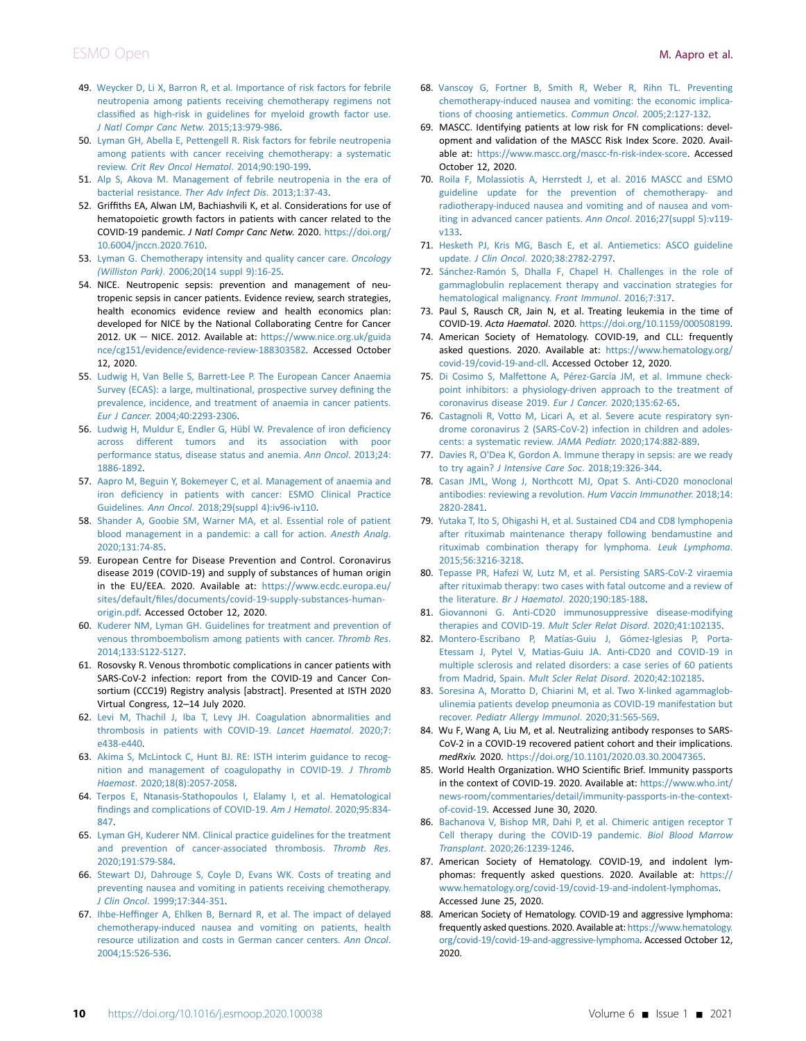- <span id="page-9-0"></span>49. [Weycker D, Li X, Barron R, et al. Importance of risk factors for febrile](http://refhub.elsevier.com/S2059-7029(20)32904-5/sref48) [neutropenia among patients receiving chemotherapy regimens not](http://refhub.elsevier.com/S2059-7029(20)32904-5/sref48) classifi[ed as high-risk in guidelines for myeloid growth factor use.](http://refhub.elsevier.com/S2059-7029(20)32904-5/sref48) [J Natl Compr Canc Netw](http://refhub.elsevier.com/S2059-7029(20)32904-5/sref48). 2015;13:979-986.
- <span id="page-9-1"></span>50. [Lyman GH, Abella E, Pettengell R. Risk factors for febrile neutropenia](http://refhub.elsevier.com/S2059-7029(20)32904-5/sref49) [among patients with cancer receiving chemotherapy: a systematic](http://refhub.elsevier.com/S2059-7029(20)32904-5/sref49) review. [Crit Rev Oncol Hematol](http://refhub.elsevier.com/S2059-7029(20)32904-5/sref49). 2014;90:190-199.
- <span id="page-9-2"></span>51. [Alp S, Akova M. Management of febrile neutropenia in the era of](http://refhub.elsevier.com/S2059-7029(20)32904-5/sref50) [bacterial resistance.](http://refhub.elsevier.com/S2059-7029(20)32904-5/sref50) Ther Adv Infect Dis. 2013;1:37-43.
- <span id="page-9-3"></span>52. Griffiths EA, Alwan LM, Bachiashvili K, et al. Considerations for use of hematopoietic growth factors in patients with cancer related to the COVID-19 pandemic. J Natl Compr Canc Netw. 2020. [https://doi.org/](https://doi.org/10.6004/jnccn.2020.7610) [10.6004/jnccn.2020.7610](https://doi.org/10.6004/jnccn.2020.7610).
- <span id="page-9-4"></span>53. [Lyman G. Chemotherapy intensity and quality cancer care.](http://refhub.elsevier.com/S2059-7029(20)32904-5/sref51) Oncology (Williston Park)[. 2006;20\(14 suppl 9\):16-25.](http://refhub.elsevier.com/S2059-7029(20)32904-5/sref51)
- <span id="page-9-5"></span>54. NICE. Neutropenic sepsis: prevention and management of neutropenic sepsis in cancer patients. Evidence review, search strategies, health economics evidence review and health economics plan: developed for NICE by the National Collaborating Centre for Cancer 2012. UK - NICE. 2012. Available at: [https://www.nice.org.uk/guida](https://www.nice.org.uk/guidance/cg151/evidence/evidence-review-188303582) [nce/cg151/evidence/evidence-review-188303582](https://www.nice.org.uk/guidance/cg151/evidence/evidence-review-188303582). Accessed October 12, 2020.
- <span id="page-9-6"></span>55. [Ludwig H, Van Belle S, Barrett-Lee P. The European Cancer Anaemia](http://refhub.elsevier.com/S2059-7029(20)32904-5/sref53) [Survey \(ECAS\): a large, multinational, prospective survey de](http://refhub.elsevier.com/S2059-7029(20)32904-5/sref53)fining the [prevalence, incidence, and treatment of anaemia in cancer patients.](http://refhub.elsevier.com/S2059-7029(20)32904-5/sref53) Eur J Cancer[. 2004;40:2293-2306](http://refhub.elsevier.com/S2059-7029(20)32904-5/sref53).
- <span id="page-9-7"></span>56. [Ludwig H, Muldur E, Endler G, Hübl W. Prevalence of iron de](http://refhub.elsevier.com/S2059-7029(20)32904-5/sref54)ficiency [across different tumors and its association with poor](http://refhub.elsevier.com/S2059-7029(20)32904-5/sref54) [performance status, disease status and anemia.](http://refhub.elsevier.com/S2059-7029(20)32904-5/sref54) Ann Oncol. 2013;24: [1886-1892](http://refhub.elsevier.com/S2059-7029(20)32904-5/sref54).
- <span id="page-9-8"></span>57. [Aapro M, Beguin Y, Bokemeyer C, et al. Management of anaemia and](http://refhub.elsevier.com/S2059-7029(20)32904-5/sref55) iron defi[ciency in patients with cancer: ESMO Clinical Practice](http://refhub.elsevier.com/S2059-7029(20)32904-5/sref55) Guidelines. Ann Oncol[. 2018;29\(suppl 4\):iv96-iv110](http://refhub.elsevier.com/S2059-7029(20)32904-5/sref55).
- <span id="page-9-9"></span>58. [Shander A, Goobie SM, Warner MA, et al. Essential role of patient](http://refhub.elsevier.com/S2059-7029(20)32904-5/sref56) [blood management in a pandemic: a call for action.](http://refhub.elsevier.com/S2059-7029(20)32904-5/sref56) Anesth Analg. [2020;131:74-85](http://refhub.elsevier.com/S2059-7029(20)32904-5/sref56).
- <span id="page-9-10"></span>59. European Centre for Disease Prevention and Control. Coronavirus disease 2019 (COVID-19) and supply of substances of human origin in the EU/EEA. 2020. Available at: [https://www.ecdc.europa.eu/](https://www.ecdc.europa.eu/sites/default/files/documents/covid-19-supply-substances-human-origin.pdf) sites/default/fi[les/documents/covid-19-supply-substances-human](https://www.ecdc.europa.eu/sites/default/files/documents/covid-19-supply-substances-human-origin.pdf)[origin.pdf.](https://www.ecdc.europa.eu/sites/default/files/documents/covid-19-supply-substances-human-origin.pdf) Accessed October 12, 2020.
- <span id="page-9-11"></span>60. [Kuderer NM, Lyman GH. Guidelines for treatment and prevention of](http://refhub.elsevier.com/S2059-7029(20)32904-5/sref58) [venous thromboembolism among patients with cancer.](http://refhub.elsevier.com/S2059-7029(20)32904-5/sref58) Thromb Res. [2014;133:S122-S127](http://refhub.elsevier.com/S2059-7029(20)32904-5/sref58).
- <span id="page-9-12"></span>61. Rosovsky R. Venous thrombotic complications in cancer patients with SARS-CoV-2 infection: report from the COVID-19 and Cancer Consortium (CCC19) Registry analysis [abstract]. Presented at ISTH 2020 Virtual Congress, 12-14 July 2020.
- <span id="page-9-13"></span>62. [Levi M, Thachil J, Iba T, Levy JH. Coagulation abnormalities and](http://refhub.elsevier.com/S2059-7029(20)32904-5/sref60) [thrombosis in patients with COVID-19.](http://refhub.elsevier.com/S2059-7029(20)32904-5/sref60) Lancet Haematol. 2020;7: [e438-e440](http://refhub.elsevier.com/S2059-7029(20)32904-5/sref60).
- <span id="page-9-14"></span>63. [Akima S, McLintock C, Hunt BJ. RE: ISTH interim guidance to recog](http://refhub.elsevier.com/S2059-7029(20)32904-5/sref61)[nition and management of coagulopathy in COVID-19.](http://refhub.elsevier.com/S2059-7029(20)32904-5/sref61) J Thromb Haemost[. 2020;18\(8\):2057-2058](http://refhub.elsevier.com/S2059-7029(20)32904-5/sref61).
- <span id="page-9-15"></span>64. [Terpos E, Ntanasis-Stathopoulos I, Elalamy I, et al. Hematological](http://refhub.elsevier.com/S2059-7029(20)32904-5/sref62) fi[ndings and complications of COVID-19.](http://refhub.elsevier.com/S2059-7029(20)32904-5/sref62) Am J Hematol. 2020;95:834- [847.](http://refhub.elsevier.com/S2059-7029(20)32904-5/sref62)
- <span id="page-9-16"></span>65. [Lyman GH, Kuderer NM. Clinical practice guidelines for the treatment](http://refhub.elsevier.com/S2059-7029(20)32904-5/sref63) [and prevention of cancer-associated thrombosis.](http://refhub.elsevier.com/S2059-7029(20)32904-5/sref63) Thromb Res. [2020;191:S79-S84.](http://refhub.elsevier.com/S2059-7029(20)32904-5/sref63)
- <span id="page-9-17"></span>66. [Stewart DJ, Dahrouge S, Coyle D, Evans WK. Costs of treating and](http://refhub.elsevier.com/S2059-7029(20)32904-5/sref64) [preventing nausea and vomiting in patients receiving chemotherapy.](http://refhub.elsevier.com/S2059-7029(20)32904-5/sref64) J Clin Oncol[. 1999;17:344-351.](http://refhub.elsevier.com/S2059-7029(20)32904-5/sref64)
- 67. Ihbe-Heffi[nger A, Ehlken B, Bernard R, et al. The impact of delayed](http://refhub.elsevier.com/S2059-7029(20)32904-5/sref65) [chemotherapy-induced nausea and vomiting on patients, health](http://refhub.elsevier.com/S2059-7029(20)32904-5/sref65) [resource utilization and costs in German cancer centers.](http://refhub.elsevier.com/S2059-7029(20)32904-5/sref65) Ann Oncol. [2004;15:526-536](http://refhub.elsevier.com/S2059-7029(20)32904-5/sref65).
- 68. [Vanscoy G, Fortner B, Smith R, Weber R, Rihn TL. Preventing](http://refhub.elsevier.com/S2059-7029(20)32904-5/sref66) [chemotherapy-induced nausea and vomiting: the economic implica](http://refhub.elsevier.com/S2059-7029(20)32904-5/sref66)[tions of choosing antiemetics.](http://refhub.elsevier.com/S2059-7029(20)32904-5/sref66) Commun Oncol. 2005;2:127-132.
- <span id="page-9-18"></span>69. MASCC. Identifying patients at low risk for FN complications: development and validation of the MASCC Risk Index Score. 2020. Available at: <https://www.mascc.org/mascc-fn-risk-index-score>. Accessed October 12, 2020.
- 70. [Roila F, Molassiotis A, Herrstedt J, et al. 2016 MASCC and ESMO](http://refhub.elsevier.com/S2059-7029(20)32904-5/sref68) [guideline update for the prevention of chemotherapy- and](http://refhub.elsevier.com/S2059-7029(20)32904-5/sref68) [radiotherapy-induced nausea and vomiting and of nausea and vom](http://refhub.elsevier.com/S2059-7029(20)32904-5/sref68)[iting in advanced cancer patients.](http://refhub.elsevier.com/S2059-7029(20)32904-5/sref68) Ann Oncol. 2016;27(suppl 5):v119 [v133](http://refhub.elsevier.com/S2059-7029(20)32904-5/sref68).
- 71. [Hesketh PJ, Kris MG, Basch E, et al. Antiemetics: ASCO guideline](http://refhub.elsevier.com/S2059-7029(20)32904-5/sref69) update. J Clin Oncol[. 2020;38:2782-2797.](http://refhub.elsevier.com/S2059-7029(20)32904-5/sref69)
- <span id="page-9-19"></span>72. [Sánchez-Ramón S, Dhalla F, Chapel H. Challenges in the role of](http://refhub.elsevier.com/S2059-7029(20)32904-5/sref70) [gammaglobulin replacement therapy and vaccination strategies for](http://refhub.elsevier.com/S2059-7029(20)32904-5/sref70) [hematological malignancy.](http://refhub.elsevier.com/S2059-7029(20)32904-5/sref70) Front Immunol. 2016;7:317.
- <span id="page-9-20"></span>73. Paul S, Rausch CR, Jain N, et al. Treating leukemia in the time of COVID-19. Acta Haematol. 2020. <https://doi.org/10.1159/000508199>.
- <span id="page-9-21"></span>74. American Society of Hematology. COVID-19, and CLL: frequently asked questions. 2020. Available at: [https://www.hematology.org/](https://www.hematology.org/covid-19/covid-19-and-cll) [covid-19/covid-19-and-cll](https://www.hematology.org/covid-19/covid-19-and-cll). Accessed October 12, 2020.
- <span id="page-9-22"></span>75. [Di Cosimo S, Malfettone A, Pérez-García JM, et al. Immune check](http://refhub.elsevier.com/S2059-7029(20)32904-5/sref73)[point inhibitors: a physiology-driven approach to the treatment of](http://refhub.elsevier.com/S2059-7029(20)32904-5/sref73) [coronavirus disease 2019.](http://refhub.elsevier.com/S2059-7029(20)32904-5/sref73) Eur J Cancer. 2020;135:62-65.
- <span id="page-9-23"></span>76. [Castagnoli R, Votto M, Licari A, et al. Severe acute respiratory syn](http://refhub.elsevier.com/S2059-7029(20)32904-5/sref74)[drome coronavirus 2 \(SARS-CoV-2\) infection in children and adoles](http://refhub.elsevier.com/S2059-7029(20)32904-5/sref74)[cents: a systematic review.](http://refhub.elsevier.com/S2059-7029(20)32904-5/sref74) JAMA Pediatr. 2020;174:882-889.
- <span id="page-9-24"></span>77. [Davies R, O'Dea K, Gordon A. Immune therapy in sepsis: are we ready](http://refhub.elsevier.com/S2059-7029(20)32904-5/sref75) to try again? [J Intensive Care Soc](http://refhub.elsevier.com/S2059-7029(20)32904-5/sref75). 2018;19:326-344.
- <span id="page-9-25"></span>78. [Casan JML, Wong J, Northcott MJ, Opat S. Anti-CD20 monoclonal](http://refhub.elsevier.com/S2059-7029(20)32904-5/sref76) [antibodies: reviewing a revolution.](http://refhub.elsevier.com/S2059-7029(20)32904-5/sref76) Hum Vaccin Immunother. 2018;14: [2820-2841.](http://refhub.elsevier.com/S2059-7029(20)32904-5/sref76)
- <span id="page-9-26"></span>79. [Yutaka T, Ito S, Ohigashi H, et al. Sustained CD4 and CD8 lymphopenia](http://refhub.elsevier.com/S2059-7029(20)32904-5/sref77) [after rituximab maintenance therapy following bendamustine and](http://refhub.elsevier.com/S2059-7029(20)32904-5/sref77) [rituximab combination therapy for lymphoma.](http://refhub.elsevier.com/S2059-7029(20)32904-5/sref77) Leuk Lymphoma. [2015;56:3216-3218.](http://refhub.elsevier.com/S2059-7029(20)32904-5/sref77)
- <span id="page-9-27"></span>80. [Tepasse PR, Hafezi W, Lutz M, et al. Persisting SARS-CoV-2 viraemia](http://refhub.elsevier.com/S2059-7029(20)32904-5/sref78) [after rituximab therapy: two cases with fatal outcome and a review of](http://refhub.elsevier.com/S2059-7029(20)32904-5/sref78) the literature. Br J Haematol[. 2020;190:185-188](http://refhub.elsevier.com/S2059-7029(20)32904-5/sref78).
- <span id="page-9-28"></span>81. [Giovannoni G. Anti-CD20 immunosuppressive disease-modifying](http://refhub.elsevier.com/S2059-7029(20)32904-5/sref79) [therapies and COVID-19.](http://refhub.elsevier.com/S2059-7029(20)32904-5/sref79) Mult Scler Relat Disord. 2020;41:102135.
- <span id="page-9-29"></span>82. [Montero-Escribano P, Matías-Guiu J, Gómez-Iglesias P, Porta-](http://refhub.elsevier.com/S2059-7029(20)32904-5/sref80)[Etessam J, Pytel V, Matias-Guiu JA. Anti-CD20 and COVID-19 in](http://refhub.elsevier.com/S2059-7029(20)32904-5/sref80) [multiple sclerosis and related disorders: a case series of 60 patients](http://refhub.elsevier.com/S2059-7029(20)32904-5/sref80) from Madrid, Spain. [Mult Scler Relat Disord](http://refhub.elsevier.com/S2059-7029(20)32904-5/sref80). 2020;42:102185.
- <span id="page-9-30"></span>83. [Soresina A, Moratto D, Chiarini M, et al. Two X-linked agammaglob](http://refhub.elsevier.com/S2059-7029(20)32904-5/sref81)[ulinemia patients develop pneumonia as COVID-19 manifestation but](http://refhub.elsevier.com/S2059-7029(20)32904-5/sref81) recover. [Pediatr Allergy Immunol](http://refhub.elsevier.com/S2059-7029(20)32904-5/sref81). 2020;31:565-569.
- 84. Wu F, Wang A, Liu M, et al. Neutralizing antibody responses to SARS-CoV-2 in a COVID-19 recovered patient cohort and their implications. medRxiv. 2020. <https://doi.org/10.1101/2020.03.30.20047365>.
- 85. World Health Organization. WHO Scientific Brief. Immunity passports in the context of COVID-19. 2020. Available at: [https://www.who.int/](https://www.who.int/news-room/commentaries/detail/immunity-passports-in-the-context-of-covid-19) [news-room/commentaries/detail/immunity-passports-in-the-context](https://www.who.int/news-room/commentaries/detail/immunity-passports-in-the-context-of-covid-19)[of-covid-19.](https://www.who.int/news-room/commentaries/detail/immunity-passports-in-the-context-of-covid-19) Accessed June 30, 2020.
- <span id="page-9-31"></span>86. [Bachanova V, Bishop MR, Dahi P, et al. Chimeric antigen receptor T](http://refhub.elsevier.com/S2059-7029(20)32904-5/sref84) [Cell therapy during the COVID-19 pandemic.](http://refhub.elsevier.com/S2059-7029(20)32904-5/sref84) Biol Blood Marrow Transplant[. 2020;26:1239-1246.](http://refhub.elsevier.com/S2059-7029(20)32904-5/sref84)
- <span id="page-9-32"></span>87. American Society of Hematology. COVID-19, and indolent lymphomas: frequently asked questions. 2020. Available at: [https://](https://www.hematology.org/covid-19/covid-19-and-indolent-lymphomas) [www.hematology.org/covid-19/covid-19-and-indolent-lymphomas](https://www.hematology.org/covid-19/covid-19-and-indolent-lymphomas). Accessed June 25, 2020.
- <span id="page-9-33"></span>88. American Society of Hematology. COVID-19 and aggressive lymphoma: frequently asked questions. 2020. Available at: [https://www.hematology.](https://www.hematology.org/covid-19/covid-19-and-aggressive-lymphoma) [org/covid-19/covid-19-and-aggressive-lymphoma](https://www.hematology.org/covid-19/covid-19-and-aggressive-lymphoma). Accessed October 12, 2020.